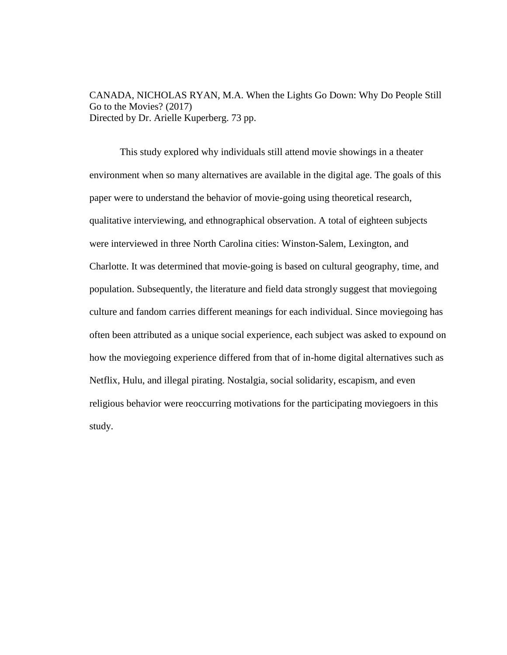CANADA, NICHOLAS RYAN, M.A. When the Lights Go Down: Why Do People Still Go to the Movies? (2017) Directed by Dr. Arielle Kuperberg. 73 pp.

This study explored why individuals still attend movie showings in a theater environment when so many alternatives are available in the digital age. The goals of this paper were to understand the behavior of movie-going using theoretical research, qualitative interviewing, and ethnographical observation. A total of eighteen subjects were interviewed in three North Carolina cities: Winston-Salem, Lexington, and Charlotte. It was determined that movie-going is based on cultural geography, time, and population. Subsequently, the literature and field data strongly suggest that moviegoing culture and fandom carries different meanings for each individual. Since moviegoing has often been attributed as a unique social experience, each subject was asked to expound on how the moviegoing experience differed from that of in-home digital alternatives such as Netflix, Hulu, and illegal pirating. Nostalgia, social solidarity, escapism, and even religious behavior were reoccurring motivations for the participating moviegoers in this study.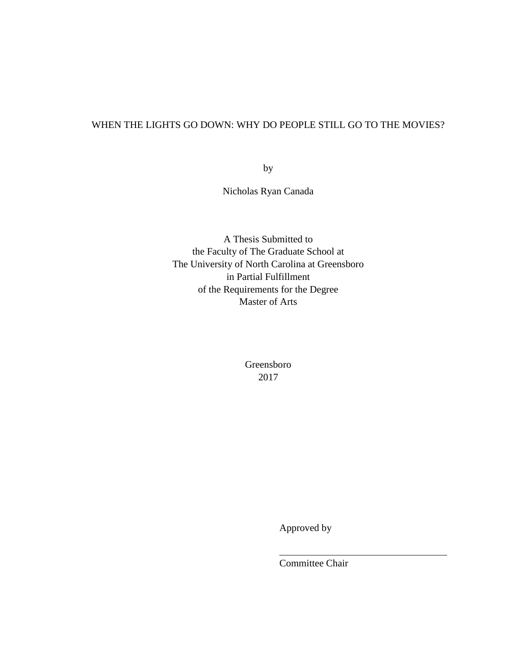# WHEN THE LIGHTS GO DOWN: WHY DO PEOPLE STILL GO TO THE MOVIES?

by

Nicholas Ryan Canada

A Thesis Submitted to the Faculty of The Graduate School at The University of North Carolina at Greensboro in Partial Fulfillment of the Requirements for the Degree Master of Arts

> Greensboro 2017

> > Approved by

Committee Chair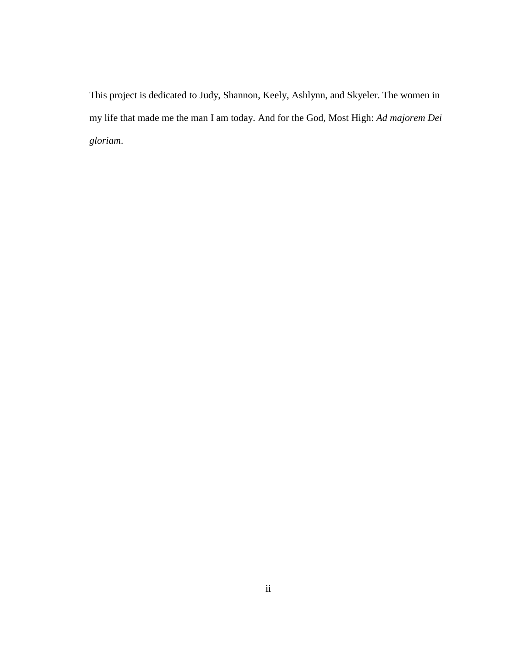This project is dedicated to Judy, Shannon, Keely, Ashlynn, and Skyeler. The women in my life that made me the man I am today. And for the God, Most High: *Ad majorem Dei gloriam*.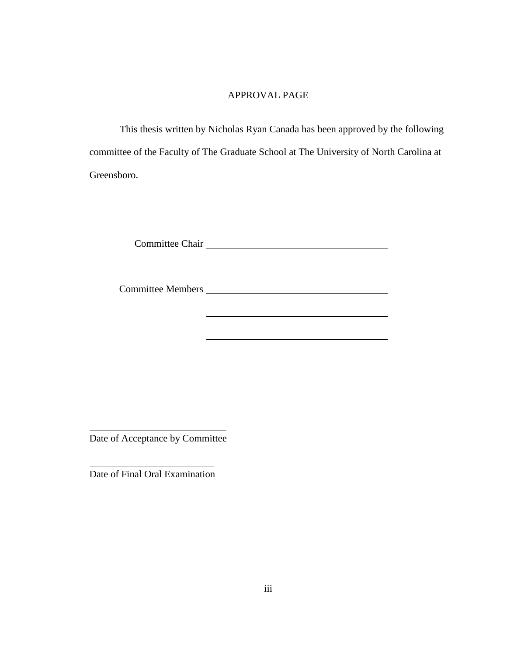# APPROVAL PAGE

This thesis written by Nicholas Ryan Canada has been approved by the following committee of the Faculty of The Graduate School at The University of North Carolina at Greensboro.

Committee Chair

<u> 1980 - Johann Barbara, martin amerikan basar da</u>

Committee Members

Date of Acceptance by Committee

Date of Final Oral Examination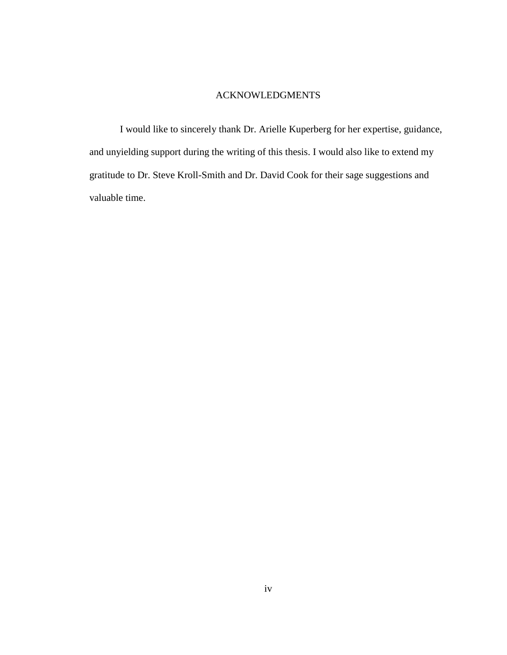## ACKNOWLEDGMENTS

I would like to sincerely thank Dr. Arielle Kuperberg for her expertise, guidance, and unyielding support during the writing of this thesis. I would also like to extend my gratitude to Dr. Steve Kroll-Smith and Dr. David Cook for their sage suggestions and valuable time.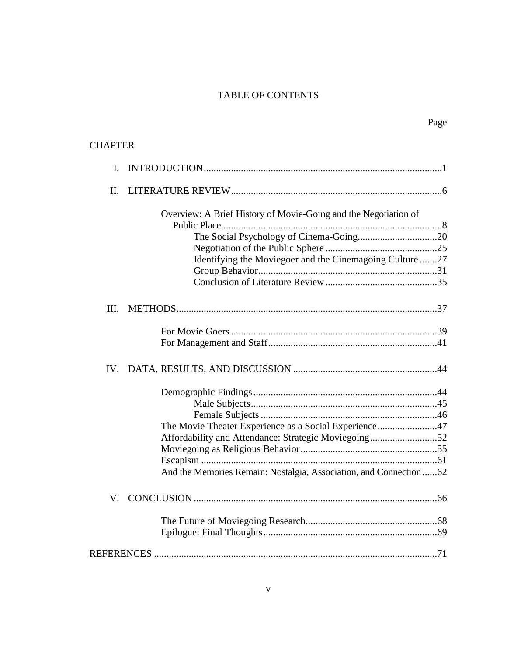# TABLE OF CONTENTS

| <b>CHAPTER</b> |                                                                   |  |
|----------------|-------------------------------------------------------------------|--|
| L.             |                                                                   |  |
| $\Pi$ .        |                                                                   |  |
|                | Overview: A Brief History of Movie-Going and the Negotiation of   |  |
|                |                                                                   |  |
|                |                                                                   |  |
|                | Identifying the Moviegoer and the Cinemagoing Culture 27          |  |
|                |                                                                   |  |
|                |                                                                   |  |
| III.           |                                                                   |  |
|                |                                                                   |  |
|                |                                                                   |  |
|                |                                                                   |  |
|                |                                                                   |  |
|                |                                                                   |  |
|                |                                                                   |  |
|                | The Movie Theater Experience as a Social Experience47             |  |
|                | Affordability and Attendance: Strategic Moviegoing52              |  |
|                |                                                                   |  |
|                |                                                                   |  |
|                | And the Memories Remain: Nostalgia, Association, and Connection62 |  |
| V.             |                                                                   |  |
|                |                                                                   |  |
|                |                                                                   |  |
|                |                                                                   |  |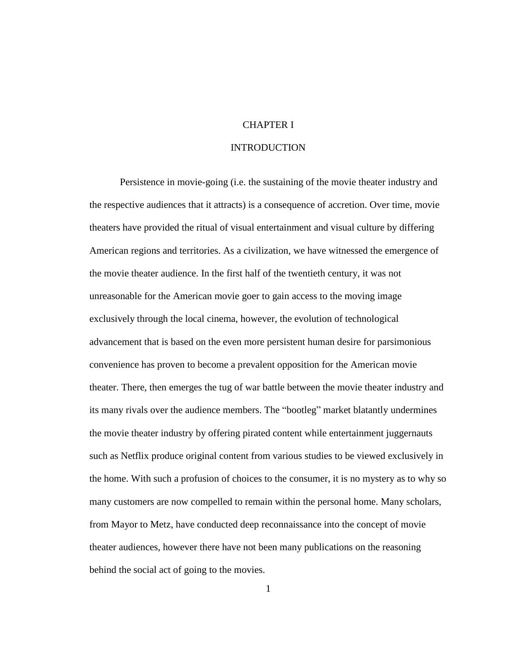## CHAPTER I

# **INTRODUCTION**

<span id="page-6-0"></span>Persistence in movie-going (i.e. the sustaining of the movie theater industry and the respective audiences that it attracts) is a consequence of accretion. Over time, movie theaters have provided the ritual of visual entertainment and visual culture by differing American regions and territories. As a civilization, we have witnessed the emergence of the movie theater audience. In the first half of the twentieth century, it was not unreasonable for the American movie goer to gain access to the moving image exclusively through the local cinema, however, the evolution of technological advancement that is based on the even more persistent human desire for parsimonious convenience has proven to become a prevalent opposition for the American movie theater. There, then emerges the tug of war battle between the movie theater industry and its many rivals over the audience members. The "bootleg" market blatantly undermines the movie theater industry by offering pirated content while entertainment juggernauts such as Netflix produce original content from various studies to be viewed exclusively in the home. With such a profusion of choices to the consumer, it is no mystery as to why so many customers are now compelled to remain within the personal home. Many scholars, from Mayor to Metz, have conducted deep reconnaissance into the concept of movie theater audiences, however there have not been many publications on the reasoning behind the social act of going to the movies.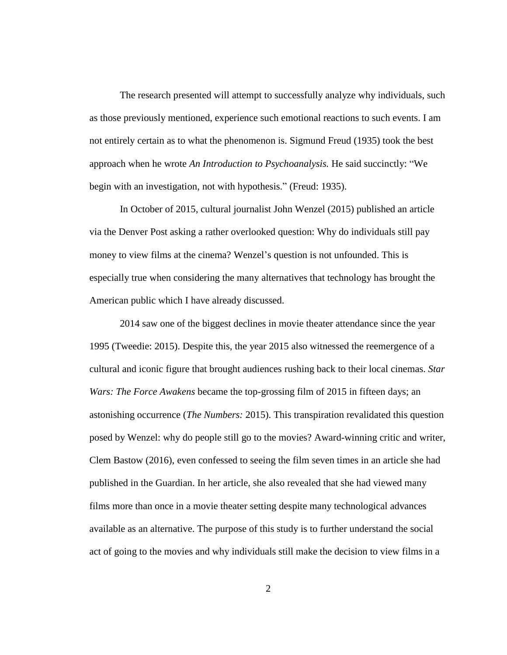The research presented will attempt to successfully analyze why individuals, such as those previously mentioned, experience such emotional reactions to such events. I am not entirely certain as to what the phenomenon is. Sigmund Freud (1935) took the best approach when he wrote *An Introduction to Psychoanalysis.* He said succinctly: "We begin with an investigation, not with hypothesis." (Freud: 1935).

In October of 2015, cultural journalist John Wenzel (2015) published an article via the Denver Post asking a rather overlooked question: Why do individuals still pay money to view films at the cinema? Wenzel's question is not unfounded. This is especially true when considering the many alternatives that technology has brought the American public which I have already discussed.

2014 saw one of the biggest declines in movie theater attendance since the year 1995 (Tweedie: 2015). Despite this, the year 2015 also witnessed the reemergence of a cultural and iconic figure that brought audiences rushing back to their local cinemas. *Star Wars: The Force Awakens* became the top-grossing film of 2015 in fifteen days; an astonishing occurrence (*The Numbers:* 2015). This transpiration revalidated this question posed by Wenzel: why do people still go to the movies? Award-winning critic and writer, Clem Bastow (2016), even confessed to seeing the film seven times in an article she had published in the Guardian. In her article, she also revealed that she had viewed many films more than once in a movie theater setting despite many technological advances available as an alternative. The purpose of this study is to further understand the social act of going to the movies and why individuals still make the decision to view films in a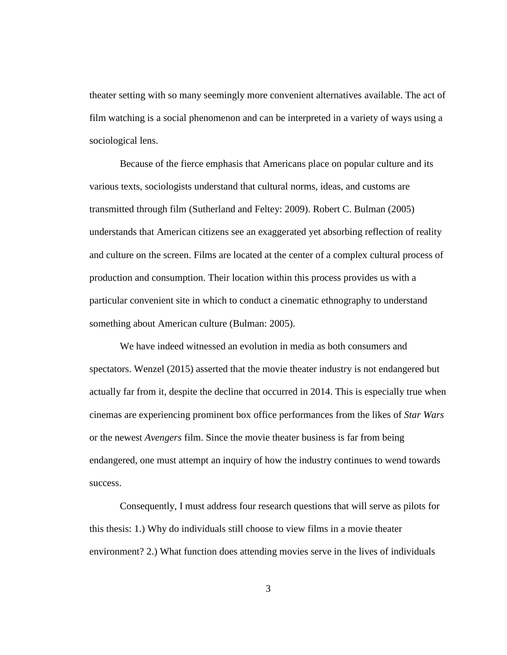theater setting with so many seemingly more convenient alternatives available. The act of film watching is a social phenomenon and can be interpreted in a variety of ways using a sociological lens.

Because of the fierce emphasis that Americans place on popular culture and its various texts, sociologists understand that cultural norms, ideas, and customs are transmitted through film (Sutherland and Feltey: 2009). Robert C. Bulman (2005) understands that American citizens see an exaggerated yet absorbing reflection of reality and culture on the screen. Films are located at the center of a complex cultural process of production and consumption. Their location within this process provides us with a particular convenient site in which to conduct a cinematic ethnography to understand something about American culture (Bulman: 2005).

We have indeed witnessed an evolution in media as both consumers and spectators. Wenzel (2015) asserted that the movie theater industry is not endangered but actually far from it, despite the decline that occurred in 2014. This is especially true when cinemas are experiencing prominent box office performances from the likes of *Star Wars* or the newest *Avengers* film. Since the movie theater business is far from being endangered, one must attempt an inquiry of how the industry continues to wend towards success.

Consequently, I must address four research questions that will serve as pilots for this thesis: 1.) Why do individuals still choose to view films in a movie theater environment? 2.) What function does attending movies serve in the lives of individuals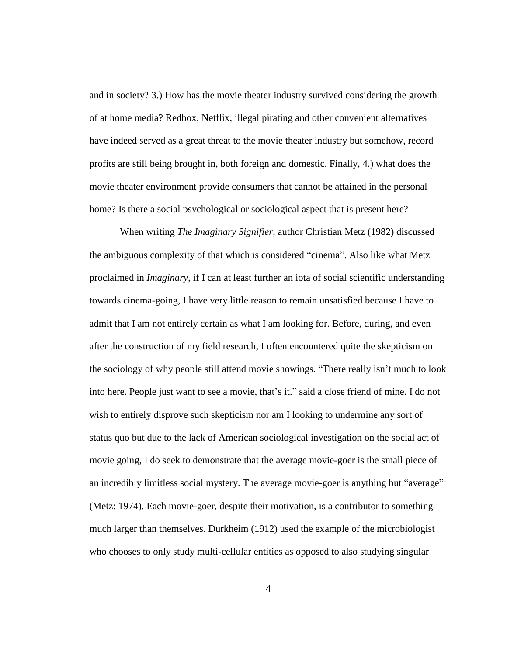and in society? 3.) How has the movie theater industry survived considering the growth of at home media? Redbox, Netflix, illegal pirating and other convenient alternatives have indeed served as a great threat to the movie theater industry but somehow, record profits are still being brought in, both foreign and domestic. Finally, 4.) what does the movie theater environment provide consumers that cannot be attained in the personal home? Is there a social psychological or sociological aspect that is present here?

When writing *The Imaginary Signifier,* author Christian Metz (1982) discussed the ambiguous complexity of that which is considered "cinema". Also like what Metz proclaimed in *Imaginary,* if I can at least further an iota of social scientific understanding towards cinema-going, I have very little reason to remain unsatisfied because I have to admit that I am not entirely certain as what I am looking for. Before, during, and even after the construction of my field research, I often encountered quite the skepticism on the sociology of why people still attend movie showings. "There really isn't much to look into here. People just want to see a movie, that's it." said a close friend of mine. I do not wish to entirely disprove such skepticism nor am I looking to undermine any sort of status quo but due to the lack of American sociological investigation on the social act of movie going, I do seek to demonstrate that the average movie-goer is the small piece of an incredibly limitless social mystery. The average movie-goer is anything but "average" (Metz: 1974). Each movie-goer, despite their motivation, is a contributor to something much larger than themselves. Durkheim (1912) used the example of the microbiologist who chooses to only study multi-cellular entities as opposed to also studying singular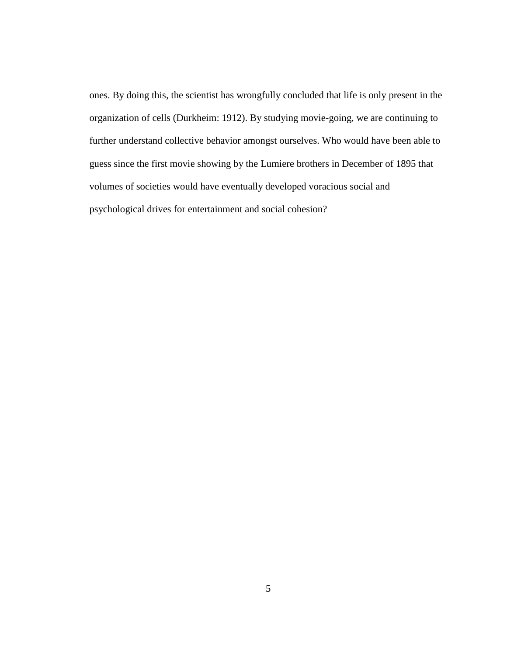ones. By doing this, the scientist has wrongfully concluded that life is only present in the organization of cells (Durkheim: 1912). By studying movie-going, we are continuing to further understand collective behavior amongst ourselves. Who would have been able to guess since the first movie showing by the Lumiere brothers in December of 1895 that volumes of societies would have eventually developed voracious social and psychological drives for entertainment and social cohesion?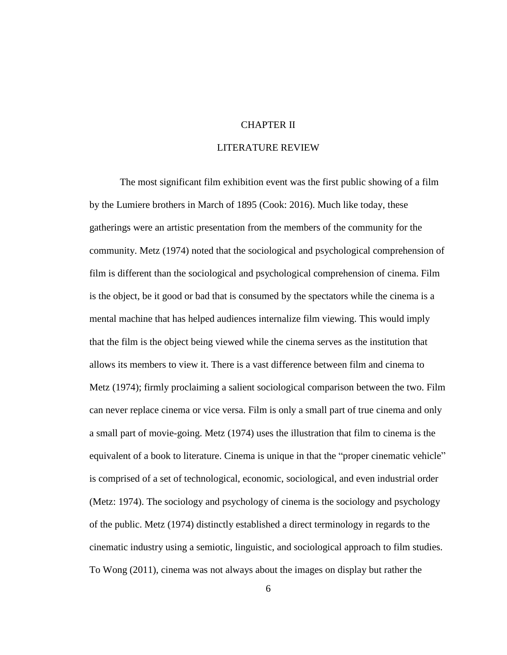### CHAPTER II

# LITERATURE REVIEW

<span id="page-11-0"></span>The most significant film exhibition event was the first public showing of a film by the Lumiere brothers in March of 1895 (Cook: 2016). Much like today, these gatherings were an artistic presentation from the members of the community for the community. Metz (1974) noted that the sociological and psychological comprehension of film is different than the sociological and psychological comprehension of cinema. Film is the object, be it good or bad that is consumed by the spectators while the cinema is a mental machine that has helped audiences internalize film viewing. This would imply that the film is the object being viewed while the cinema serves as the institution that allows its members to view it. There is a vast difference between film and cinema to Metz (1974); firmly proclaiming a salient sociological comparison between the two. Film can never replace cinema or vice versa. Film is only a small part of true cinema and only a small part of movie-going. Metz (1974) uses the illustration that film to cinema is the equivalent of a book to literature. Cinema is unique in that the "proper cinematic vehicle" is comprised of a set of technological, economic, sociological, and even industrial order (Metz: 1974). The sociology and psychology of cinema is the sociology and psychology of the public. Metz (1974) distinctly established a direct terminology in regards to the cinematic industry using a semiotic, linguistic, and sociological approach to film studies. To Wong (2011), cinema was not always about the images on display but rather the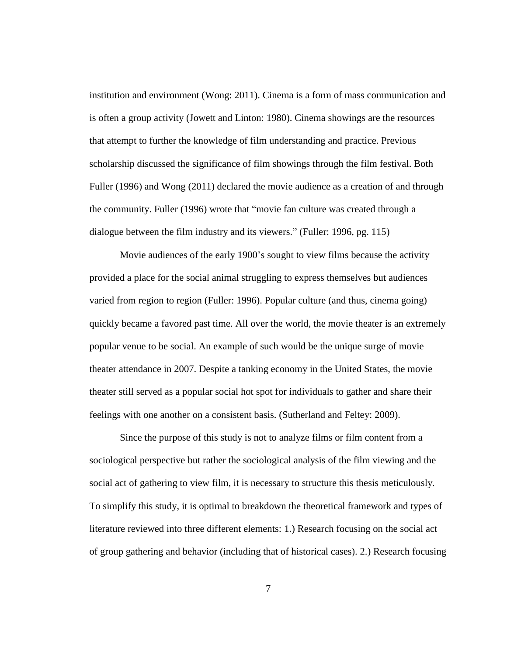institution and environment (Wong: 2011). Cinema is a form of mass communication and is often a group activity (Jowett and Linton: 1980). Cinema showings are the resources that attempt to further the knowledge of film understanding and practice. Previous scholarship discussed the significance of film showings through the film festival. Both Fuller (1996) and Wong (2011) declared the movie audience as a creation of and through the community. Fuller (1996) wrote that "movie fan culture was created through a dialogue between the film industry and its viewers." (Fuller: 1996, pg. 115)

Movie audiences of the early 1900's sought to view films because the activity provided a place for the social animal struggling to express themselves but audiences varied from region to region (Fuller: 1996). Popular culture (and thus, cinema going) quickly became a favored past time. All over the world, the movie theater is an extremely popular venue to be social. An example of such would be the unique surge of movie theater attendance in 2007. Despite a tanking economy in the United States, the movie theater still served as a popular social hot spot for individuals to gather and share their feelings with one another on a consistent basis. (Sutherland and Feltey: 2009).

Since the purpose of this study is not to analyze films or film content from a sociological perspective but rather the sociological analysis of the film viewing and the social act of gathering to view film, it is necessary to structure this thesis meticulously. To simplify this study, it is optimal to breakdown the theoretical framework and types of literature reviewed into three different elements: 1.) Research focusing on the social act of group gathering and behavior (including that of historical cases). 2.) Research focusing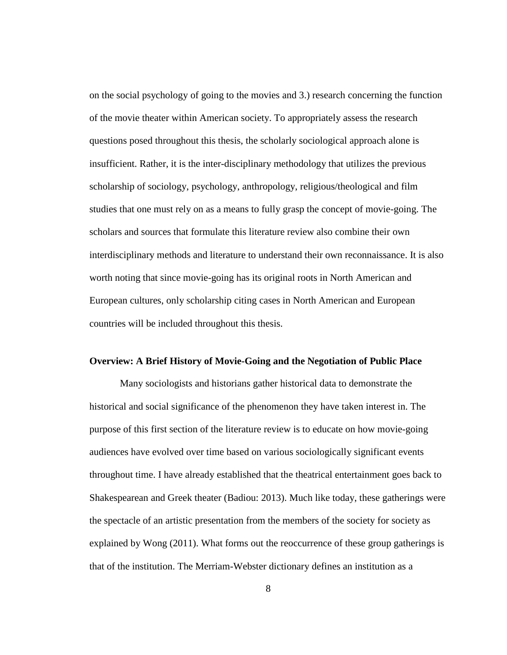on the social psychology of going to the movies and 3.) research concerning the function of the movie theater within American society. To appropriately assess the research questions posed throughout this thesis, the scholarly sociological approach alone is insufficient. Rather, it is the inter-disciplinary methodology that utilizes the previous scholarship of sociology, psychology, anthropology, religious/theological and film studies that one must rely on as a means to fully grasp the concept of movie-going. The scholars and sources that formulate this literature review also combine their own interdisciplinary methods and literature to understand their own reconnaissance. It is also worth noting that since movie-going has its original roots in North American and European cultures, only scholarship citing cases in North American and European countries will be included throughout this thesis.

#### <span id="page-13-0"></span>**Overview: A Brief History of Movie-Going and the Negotiation of Public Place**

Many sociologists and historians gather historical data to demonstrate the historical and social significance of the phenomenon they have taken interest in. The purpose of this first section of the literature review is to educate on how movie-going audiences have evolved over time based on various sociologically significant events throughout time. I have already established that the theatrical entertainment goes back to Shakespearean and Greek theater (Badiou: 2013). Much like today, these gatherings were the spectacle of an artistic presentation from the members of the society for society as explained by Wong (2011). What forms out the reoccurrence of these group gatherings is that of the institution. The Merriam-Webster dictionary defines an institution as a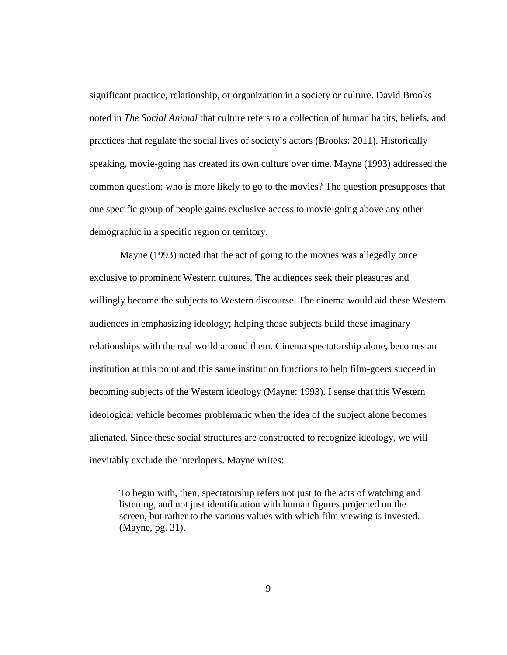significant practice, relationship, or organization in a society or culture. David Brooks noted in *The Social Animal* that culture refers to a collection of human habits, beliefs, and practices that regulate the social lives of society's actors (Brooks: 2011). Historically speaking, movie-going has created its own culture over time. Mayne (1993) addressed the common question: who is more likely to go to the movies? The question presupposes that one specific group of people gains exclusive access to movie-going above any other demographic in a specific region or territory.

Mayne (1993) noted that the act of going to the movies was allegedly once exclusive to prominent Western cultures. The audiences seek their pleasures and willingly become the subjects to Western discourse. The cinema would aid these Western audiences in emphasizing ideology; helping those subjects build these imaginary relationships with the real world around them. Cinema spectatorship alone, becomes an institution at this point and this same institution functions to help film-goers succeed in becoming subjects of the Western ideology (Mayne: 1993). I sense that this Western ideological vehicle becomes problematic when the idea of the subject alone becomes alienated. Since these social structures are constructed to recognize ideology, we will inevitably exclude the interlopers. Mayne writes:

To begin with, then, spectatorship refers not just to the acts of watching and listening, and not just identification with human figures projected on the screen, but rather to the various values with which film viewing is invested. (Mayne, pg. 31).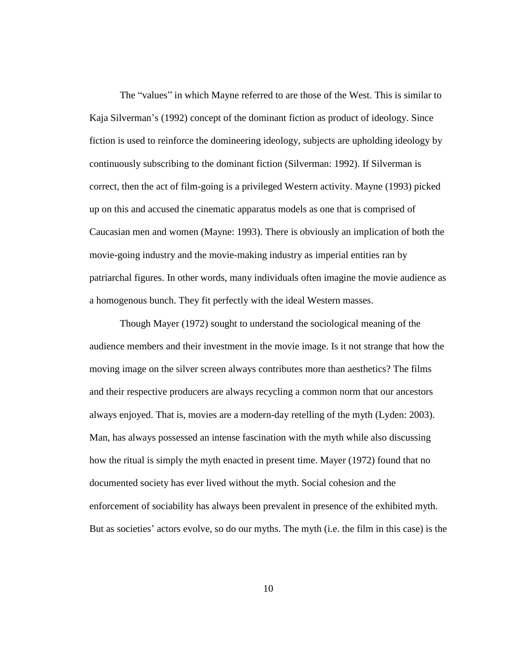The "values" in which Mayne referred to are those of the West. This is similar to Kaja Silverman's (1992) concept of the dominant fiction as product of ideology. Since fiction is used to reinforce the domineering ideology, subjects are upholding ideology by continuously subscribing to the dominant fiction (Silverman: 1992). If Silverman is correct, then the act of film-going is a privileged Western activity. Mayne (1993) picked up on this and accused the cinematic apparatus models as one that is comprised of Caucasian men and women (Mayne: 1993). There is obviously an implication of both the movie-going industry and the movie-making industry as imperial entities ran by patriarchal figures. In other words, many individuals often imagine the movie audience as a homogenous bunch. They fit perfectly with the ideal Western masses.

Though Mayer (1972) sought to understand the sociological meaning of the audience members and their investment in the movie image. Is it not strange that how the moving image on the silver screen always contributes more than aesthetics? The films and their respective producers are always recycling a common norm that our ancestors always enjoyed. That is, movies are a modern-day retelling of the myth (Lyden: 2003). Man, has always possessed an intense fascination with the myth while also discussing how the ritual is simply the myth enacted in present time. Mayer (1972) found that no documented society has ever lived without the myth. Social cohesion and the enforcement of sociability has always been prevalent in presence of the exhibited myth. But as societies' actors evolve, so do our myths. The myth (i.e. the film in this case) is the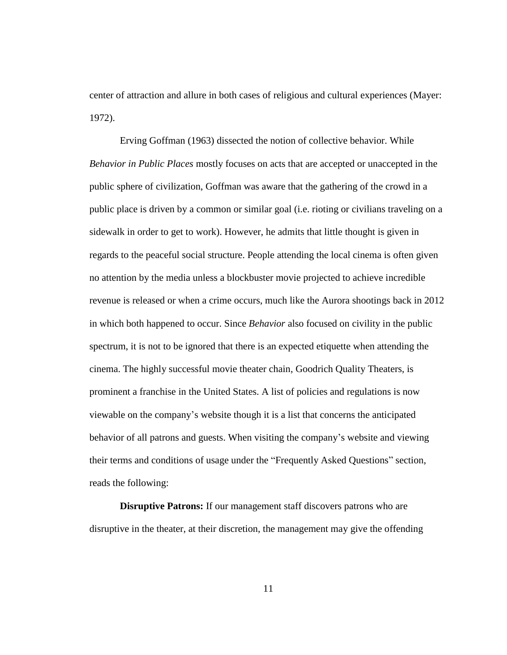center of attraction and allure in both cases of religious and cultural experiences (Mayer: 1972).

Erving Goffman (1963) dissected the notion of collective behavior. While *Behavior in Public Places* mostly focuses on acts that are accepted or unaccepted in the public sphere of civilization, Goffman was aware that the gathering of the crowd in a public place is driven by a common or similar goal (i.e. rioting or civilians traveling on a sidewalk in order to get to work). However, he admits that little thought is given in regards to the peaceful social structure. People attending the local cinema is often given no attention by the media unless a blockbuster movie projected to achieve incredible revenue is released or when a crime occurs, much like the Aurora shootings back in 2012 in which both happened to occur. Since *Behavior* also focused on civility in the public spectrum, it is not to be ignored that there is an expected etiquette when attending the cinema. The highly successful movie theater chain, Goodrich Quality Theaters, is prominent a franchise in the United States. A list of policies and regulations is now viewable on the company's website though it is a list that concerns the anticipated behavior of all patrons and guests. When visiting the company's website and viewing their terms and conditions of usage under the "Frequently Asked Questions" section, reads the following:

**Disruptive Patrons:** If our management staff discovers patrons who are disruptive in the theater, at their discretion, the management may give the offending

11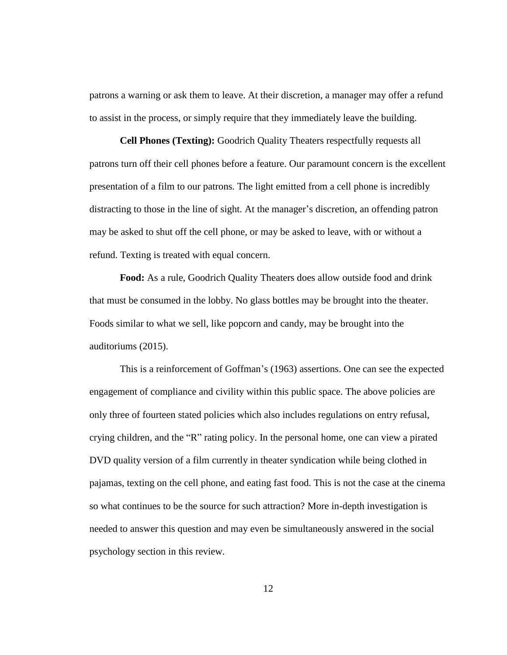patrons a warning or ask them to leave. At their discretion, a manager may offer a refund to assist in the process, or simply require that they immediately leave the building.

**Cell Phones (Texting):** Goodrich Quality Theaters respectfully requests all patrons turn off their cell phones before a feature. Our paramount concern is the excellent presentation of a film to our patrons. The light emitted from a cell phone is incredibly distracting to those in the line of sight. At the manager's discretion, an offending patron may be asked to shut off the cell phone, or may be asked to leave, with or without a refund. Texting is treated with equal concern.

**Food:** As a rule, Goodrich Quality Theaters does allow outside food and drink that must be consumed in the lobby. No glass bottles may be brought into the theater. Foods similar to what we sell, like popcorn and candy, may be brought into the auditoriums (2015).

This is a reinforcement of Goffman's (1963) assertions. One can see the expected engagement of compliance and civility within this public space. The above policies are only three of fourteen stated policies which also includes regulations on entry refusal, crying children, and the "R" rating policy. In the personal home, one can view a pirated DVD quality version of a film currently in theater syndication while being clothed in pajamas, texting on the cell phone, and eating fast food. This is not the case at the cinema so what continues to be the source for such attraction? More in-depth investigation is needed to answer this question and may even be simultaneously answered in the social psychology section in this review.

12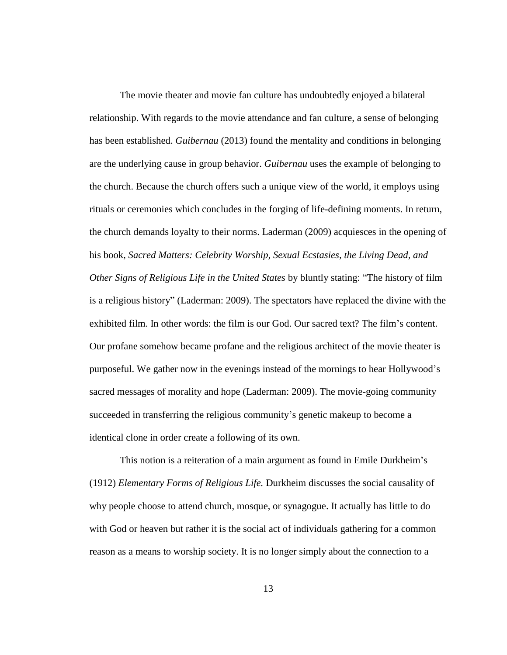The movie theater and movie fan culture has undoubtedly enjoyed a bilateral relationship. With regards to the movie attendance and fan culture, a sense of belonging has been established. *[Guibernau](http://www.amazon.com/s/ref=dp_byline_sr_book_1?ie=UTF8&text=Montserrat+Guibernau&search-alias=books&field-author=Montserrat+Guibernau&sort=relevancerank)* (2013) found the mentality and conditions in belonging are the underlying cause in group behavior. *[Guibernau](http://www.amazon.com/s/ref=dp_byline_sr_book_1?ie=UTF8&text=Montserrat+Guibernau&search-alias=books&field-author=Montserrat+Guibernau&sort=relevancerank)* uses the example of belonging to the church. Because the church offers such a unique view of the world, it employs using rituals or ceremonies which concludes in the forging of life-defining moments. In return, the church demands loyalty to their norms. Laderman (2009) acquiesces in the opening of his book, *Sacred Matters: Celebrity Worship, Sexual Ecstasies, the Living Dead, and Other Signs of Religious Life in the United States* by bluntly stating: "The history of film is a religious history" (Laderman: 2009). The spectators have replaced the divine with the exhibited film. In other words: the film is our God. Our sacred text? The film's content. Our profane somehow became profane and the religious architect of the movie theater is purposeful. We gather now in the evenings instead of the mornings to hear Hollywood's sacred messages of morality and hope (Laderman: 2009). The movie-going community succeeded in transferring the religious community's genetic makeup to become a identical clone in order create a following of its own.

This notion is a reiteration of a main argument as found in Emile Durkheim's (1912) *Elementary Forms of Religious Life.* Durkheim discusses the social causality of why people choose to attend church, mosque, or synagogue. It actually has little to do with God or heaven but rather it is the social act of individuals gathering for a common reason as a means to worship society. It is no longer simply about the connection to a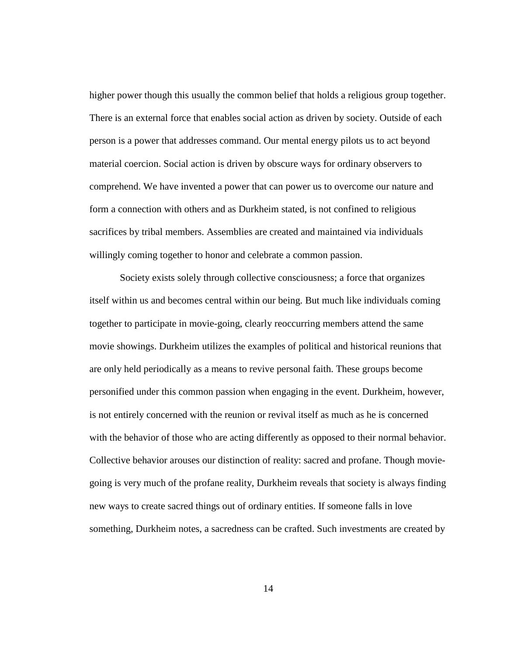higher power though this usually the common belief that holds a religious group together. There is an external force that enables social action as driven by society. Outside of each person is a power that addresses command. Our mental energy pilots us to act beyond material coercion. Social action is driven by obscure ways for ordinary observers to comprehend. We have invented a power that can power us to overcome our nature and form a connection with others and as Durkheim stated, is not confined to religious sacrifices by tribal members. Assemblies are created and maintained via individuals willingly coming together to honor and celebrate a common passion.

Society exists solely through collective consciousness; a force that organizes itself within us and becomes central within our being. But much like individuals coming together to participate in movie-going, clearly reoccurring members attend the same movie showings. Durkheim utilizes the examples of political and historical reunions that are only held periodically as a means to revive personal faith. These groups become personified under this common passion when engaging in the event. Durkheim, however, is not entirely concerned with the reunion or revival itself as much as he is concerned with the behavior of those who are acting differently as opposed to their normal behavior. Collective behavior arouses our distinction of reality: sacred and profane. Though moviegoing is very much of the profane reality, Durkheim reveals that society is always finding new ways to create sacred things out of ordinary entities. If someone falls in love something, Durkheim notes, a sacredness can be crafted. Such investments are created by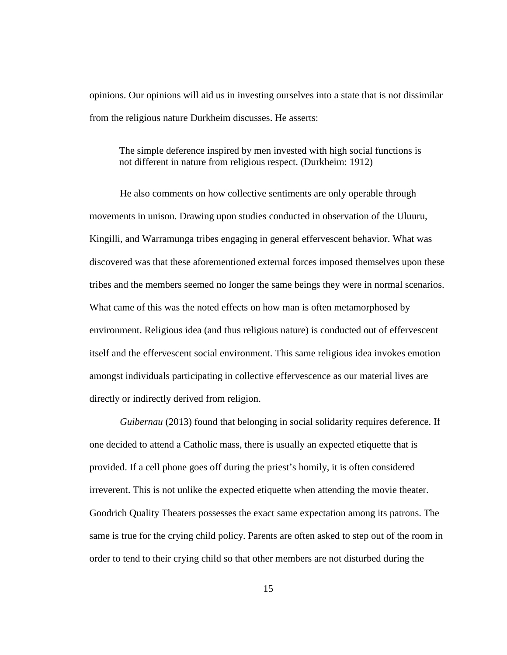opinions. Our opinions will aid us in investing ourselves into a state that is not dissimilar from the religious nature Durkheim discusses. He asserts:

The simple deference inspired by men invested with high social functions is not different in nature from religious respect. (Durkheim: 1912)

He also comments on how collective sentiments are only operable through movements in unison. Drawing upon studies conducted in observation of the Uluuru, Kingilli, and Warramunga tribes engaging in general effervescent behavior. What was discovered was that these aforementioned external forces imposed themselves upon these tribes and the members seemed no longer the same beings they were in normal scenarios. What came of this was the noted effects on how man is often metamorphosed by environment. Religious idea (and thus religious nature) is conducted out of effervescent itself and the effervescent social environment. This same religious idea invokes emotion amongst individuals participating in collective effervescence as our material lives are directly or indirectly derived from religion.

*[Guibernau](http://www.amazon.com/s/ref=dp_byline_sr_book_1?ie=UTF8&text=Montserrat+Guibernau&search-alias=books&field-author=Montserrat+Guibernau&sort=relevancerank)* (2013) found that belonging in social solidarity requires deference. If one decided to attend a Catholic mass, there is usually an expected etiquette that is provided. If a cell phone goes off during the priest's homily, it is often considered irreverent. This is not unlike the expected etiquette when attending the movie theater. Goodrich Quality Theaters possesses the exact same expectation among its patrons. The same is true for the crying child policy. Parents are often asked to step out of the room in order to tend to their crying child so that other members are not disturbed during the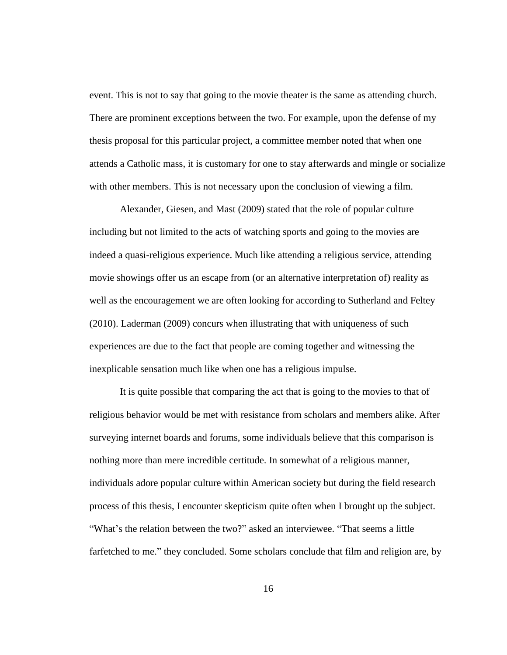event. This is not to say that going to the movie theater is the same as attending church. There are prominent exceptions between the two. For example, upon the defense of my thesis proposal for this particular project, a committee member noted that when one attends a Catholic mass, it is customary for one to stay afterwards and mingle or socialize with other members. This is not necessary upon the conclusion of viewing a film.

Alexander, Giesen, and Mast (2009) stated that the role of popular culture including but not limited to the acts of watching sports and going to the movies are indeed a quasi-religious experience. Much like attending a religious service, attending movie showings offer us an escape from (or an alternative interpretation of) reality as well as the encouragement we are often looking for according to Sutherland and Feltey (2010). Laderman (2009) concurs when illustrating that with uniqueness of such experiences are due to the fact that people are coming together and witnessing the inexplicable sensation much like when one has a religious impulse.

It is quite possible that comparing the act that is going to the movies to that of religious behavior would be met with resistance from scholars and members alike. After surveying internet boards and forums, some individuals believe that this comparison is nothing more than mere incredible certitude. In somewhat of a religious manner, individuals adore popular culture within American society but during the field research process of this thesis, I encounter skepticism quite often when I brought up the subject. "What's the relation between the two?" asked an interviewee. "That seems a little farfetched to me." they concluded. Some scholars conclude that film and religion are, by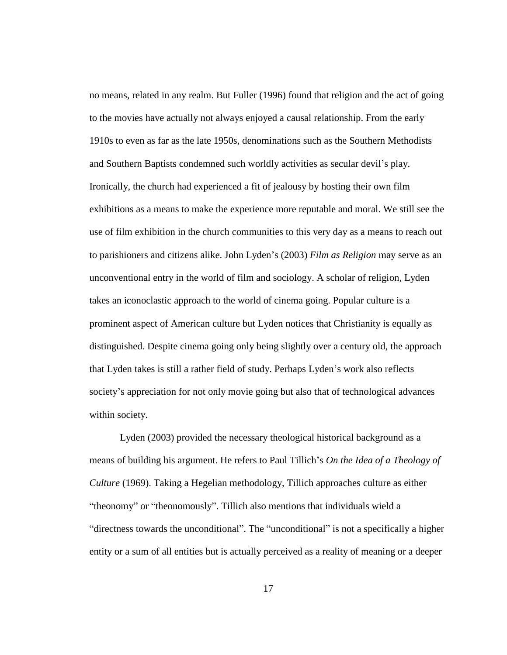no means, related in any realm. But Fuller (1996) found that religion and the act of going to the movies have actually not always enjoyed a causal relationship. From the early 1910s to even as far as the late 1950s, denominations such as the Southern Methodists and Southern Baptists condemned such worldly activities as secular devil's play. Ironically, the church had experienced a fit of jealousy by hosting their own film exhibitions as a means to make the experience more reputable and moral. We still see the use of film exhibition in the church communities to this very day as a means to reach out to parishioners and citizens alike. John Lyden's (2003) *Film as Religion* may serve as an unconventional entry in the world of film and sociology. A scholar of religion, Lyden takes an iconoclastic approach to the world of cinema going. Popular culture is a prominent aspect of American culture but Lyden notices that Christianity is equally as distinguished. Despite cinema going only being slightly over a century old, the approach that Lyden takes is still a rather field of study. Perhaps Lyden's work also reflects society's appreciation for not only movie going but also that of technological advances within society.

Lyden (2003) provided the necessary theological historical background as a means of building his argument. He refers to Paul Tillich's *On the Idea of a Theology of Culture* (1969). Taking a Hegelian methodology, Tillich approaches culture as either "theonomy" or "theonomously". Tillich also mentions that individuals wield a "directness towards the unconditional". The "unconditional" is not a specifically a higher entity or a sum of all entities but is actually perceived as a reality of meaning or a deeper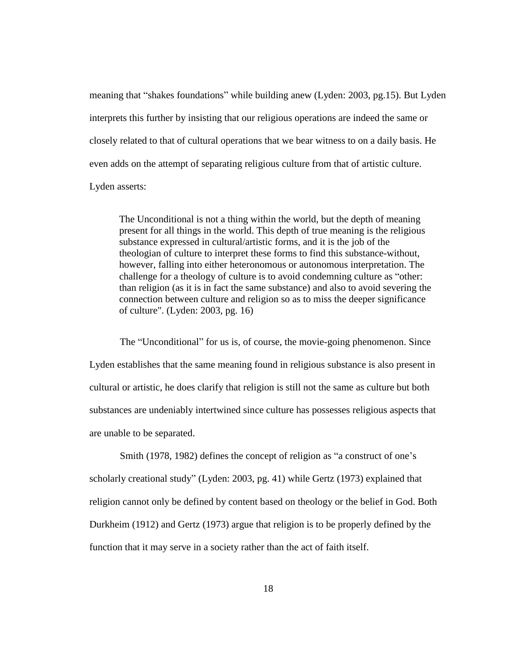meaning that "shakes foundations" while building anew (Lyden: 2003, pg.15). But Lyden interprets this further by insisting that our religious operations are indeed the same or closely related to that of cultural operations that we bear witness to on a daily basis. He even adds on the attempt of separating religious culture from that of artistic culture.

Lyden asserts:

The Unconditional is not a thing within the world, but the depth of meaning present for all things in the world. This depth of true meaning is the religious substance expressed in cultural/artistic forms, and it is the job of the theologian of culture to interpret these forms to find this substance-without, however, falling into either heteronomous or autonomous interpretation. The challenge for a theology of culture is to avoid condemning culture as "other: than religion (as it is in fact the same substance) and also to avoid severing the connection between culture and religion so as to miss the deeper significance of culture". (Lyden: 2003, pg. 16)

The "Unconditional" for us is, of course, the movie-going phenomenon. Since Lyden establishes that the same meaning found in religious substance is also present in cultural or artistic, he does clarify that religion is still not the same as culture but both substances are undeniably intertwined since culture has possesses religious aspects that are unable to be separated.

Smith (1978, 1982) defines the concept of religion as "a construct of one's scholarly creational study" (Lyden: 2003, pg. 41) while Gertz (1973) explained that religion cannot only be defined by content based on theology or the belief in God. Both Durkheim (1912) and Gertz (1973) argue that religion is to be properly defined by the function that it may serve in a society rather than the act of faith itself.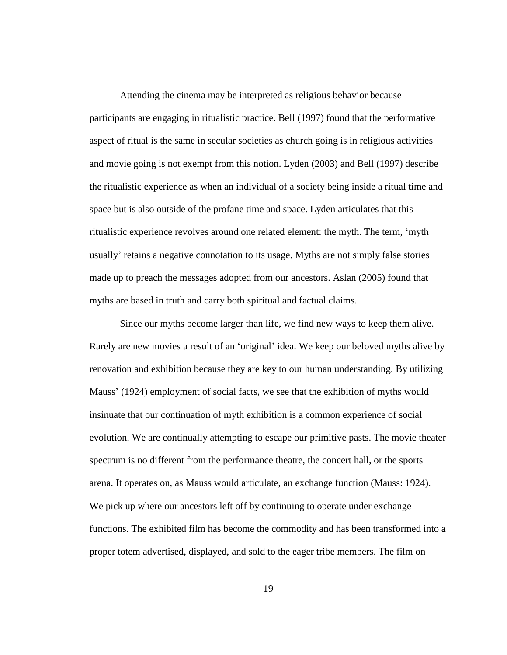Attending the cinema may be interpreted as religious behavior because participants are engaging in ritualistic practice. Bell (1997) found that the performative aspect of ritual is the same in secular societies as church going is in religious activities and movie going is not exempt from this notion. Lyden (2003) and Bell (1997) describe the ritualistic experience as when an individual of a society being inside a ritual time and space but is also outside of the profane time and space. Lyden articulates that this ritualistic experience revolves around one related element: the myth. The term, 'myth usually' retains a negative connotation to its usage. Myths are not simply false stories made up to preach the messages adopted from our ancestors. Aslan (2005) found that myths are based in truth and carry both spiritual and factual claims.

Since our myths become larger than life, we find new ways to keep them alive. Rarely are new movies a result of an 'original' idea. We keep our beloved myths alive by renovation and exhibition because they are key to our human understanding. By utilizing Mauss' (1924) employment of social facts, we see that the exhibition of myths would insinuate that our continuation of myth exhibition is a common experience of social evolution. We are continually attempting to escape our primitive pasts. The movie theater spectrum is no different from the performance theatre, the concert hall, or the sports arena. It operates on, as Mauss would articulate, an exchange function (Mauss: 1924). We pick up where our ancestors left off by continuing to operate under exchange functions. The exhibited film has become the commodity and has been transformed into a proper totem advertised, displayed, and sold to the eager tribe members. The film on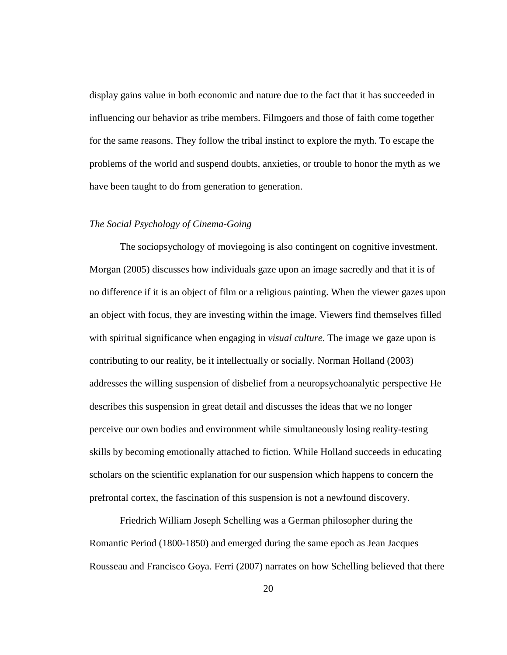display gains value in both economic and nature due to the fact that it has succeeded in influencing our behavior as tribe members. Filmgoers and those of faith come together for the same reasons. They follow the tribal instinct to explore the myth. To escape the problems of the world and suspend doubts, anxieties, or trouble to honor the myth as we have been taught to do from generation to generation.

#### <span id="page-25-0"></span>*The Social Psychology of Cinema-Going*

The sociopsychology of moviegoing is also contingent on cognitive investment. Morgan (2005) discusses how individuals gaze upon an image sacredly and that it is of no difference if it is an object of film or a religious painting. When the viewer gazes upon an object with focus, they are investing within the image. Viewers find themselves filled with spiritual significance when engaging in *visual culture*. The image we gaze upon is contributing to our reality, be it intellectually or socially. Norman Holland (2003) addresses the willing suspension of disbelief from a neuropsychoanalytic perspective He describes this suspension in great detail and discusses the ideas that we no longer perceive our own bodies and environment while simultaneously losing reality-testing skills by becoming emotionally attached to fiction. While Holland succeeds in educating scholars on the scientific explanation for our suspension which happens to concern the prefrontal cortex, the fascination of this suspension is not a newfound discovery.

Friedrich William Joseph Schelling was a German philosopher during the Romantic Period (1800-1850) and emerged during the same epoch as Jean Jacques Rousseau and Francisco Goya. Ferri (2007) narrates on how Schelling believed that there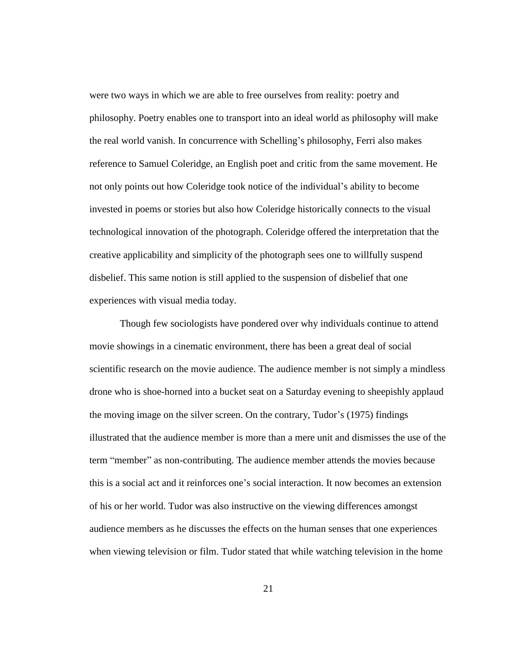were two ways in which we are able to free ourselves from reality: poetry and philosophy. Poetry enables one to transport into an ideal world as philosophy will make the real world vanish. In concurrence with Schelling's philosophy, Ferri also makes reference to Samuel Coleridge, an English poet and critic from the same movement. He not only points out how Coleridge took notice of the individual's ability to become invested in poems or stories but also how Coleridge historically connects to the visual technological innovation of the photograph. Coleridge offered the interpretation that the creative applicability and simplicity of the photograph sees one to willfully suspend disbelief. This same notion is still applied to the suspension of disbelief that one experiences with visual media today.

Though few sociologists have pondered over why individuals continue to attend movie showings in a cinematic environment, there has been a great deal of social scientific research on the movie audience. The audience member is not simply a mindless drone who is shoe-horned into a bucket seat on a Saturday evening to sheepishly applaud the moving image on the silver screen. On the contrary, Tudor's (1975) findings illustrated that the audience member is more than a mere unit and dismisses the use of the term "member" as non-contributing. The audience member attends the movies because this is a social act and it reinforces one's social interaction. It now becomes an extension of his or her world. Tudor was also instructive on the viewing differences amongst audience members as he discusses the effects on the human senses that one experiences when viewing television or film. Tudor stated that while watching television in the home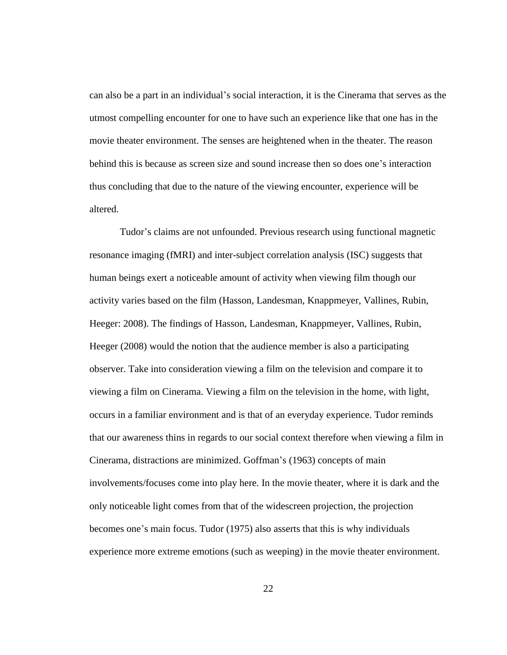can also be a part in an individual's social interaction, it is the Cinerama that serves as the utmost compelling encounter for one to have such an experience like that one has in the movie theater environment. The senses are heightened when in the theater. The reason behind this is because as screen size and sound increase then so does one's interaction thus concluding that due to the nature of the viewing encounter, experience will be altered.

Tudor's claims are not unfounded. Previous research using functional magnetic resonance imaging (fMRI) and inter-subject correlation analysis (ISC) suggests that human beings exert a noticeable amount of activity when viewing film though our activity varies based on the film (Hasson, Landesman, Knappmeyer, Vallines, Rubin, Heeger: 2008). The findings of Hasson, Landesman, Knappmeyer, Vallines, Rubin, Heeger (2008) would the notion that the audience member is also a participating observer. Take into consideration viewing a film on the television and compare it to viewing a film on Cinerama. Viewing a film on the television in the home, with light, occurs in a familiar environment and is that of an everyday experience. Tudor reminds that our awareness thins in regards to our social context therefore when viewing a film in Cinerama, distractions are minimized. Goffman's (1963) concepts of main involvements/focuses come into play here. In the movie theater, where it is dark and the only noticeable light comes from that of the widescreen projection, the projection becomes one's main focus. Tudor (1975) also asserts that this is why individuals experience more extreme emotions (such as weeping) in the movie theater environment.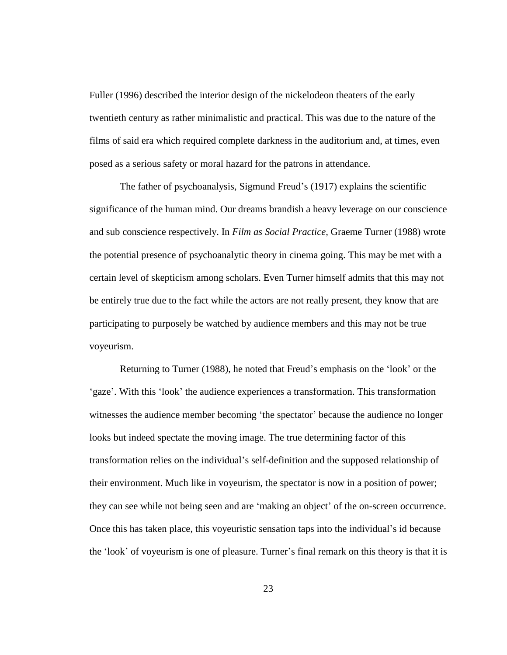Fuller (1996) described the interior design of the nickelodeon theaters of the early twentieth century as rather minimalistic and practical. This was due to the nature of the films of said era which required complete darkness in the auditorium and, at times, even posed as a serious safety or moral hazard for the patrons in attendance.

The father of psychoanalysis, Sigmund Freud's (1917) explains the scientific significance of the human mind. Our dreams brandish a heavy leverage on our conscience and sub conscience respectively. In *Film as Social Practice,* Graeme Turner (1988) wrote the potential presence of psychoanalytic theory in cinema going. This may be met with a certain level of skepticism among scholars. Even Turner himself admits that this may not be entirely true due to the fact while the actors are not really present, they know that are participating to purposely be watched by audience members and this may not be true voyeurism.

Returning to Turner (1988), he noted that Freud's emphasis on the 'look' or the 'gaze'. With this 'look' the audience experiences a transformation. This transformation witnesses the audience member becoming 'the spectator' because the audience no longer looks but indeed spectate the moving image. The true determining factor of this transformation relies on the individual's self-definition and the supposed relationship of their environment. Much like in voyeurism, the spectator is now in a position of power; they can see while not being seen and are 'making an object' of the on-screen occurrence. Once this has taken place, this voyeuristic sensation taps into the individual's id because the 'look' of voyeurism is one of pleasure. Turner's final remark on this theory is that it is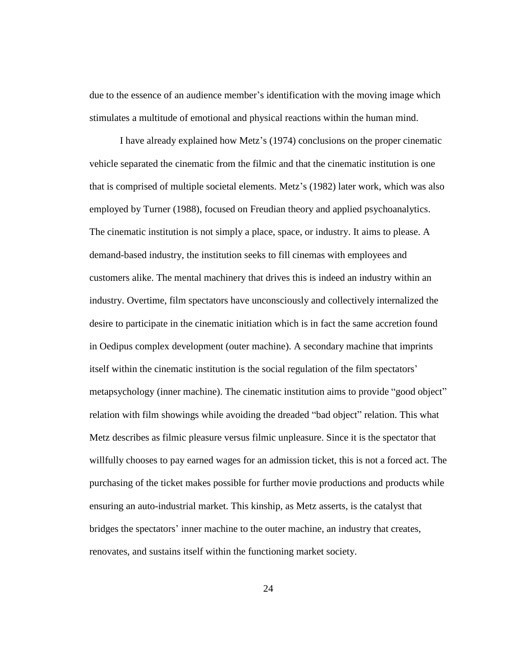due to the essence of an audience member's identification with the moving image which stimulates a multitude of emotional and physical reactions within the human mind.

I have already explained how Metz's (1974) conclusions on the proper cinematic vehicle separated the cinematic from the filmic and that the cinematic institution is one that is comprised of multiple societal elements. Metz's (1982) later work, which was also employed by Turner (1988), focused on Freudian theory and applied psychoanalytics. The cinematic institution is not simply a place, space, or industry. It aims to please. A demand-based industry, the institution seeks to fill cinemas with employees and customers alike. The mental machinery that drives this is indeed an industry within an industry. Overtime, film spectators have unconsciously and collectively internalized the desire to participate in the cinematic initiation which is in fact the same accretion found in Oedipus complex development (outer machine). A secondary machine that imprints itself within the cinematic institution is the social regulation of the film spectators' metapsychology (inner machine). The cinematic institution aims to provide "good object" relation with film showings while avoiding the dreaded "bad object" relation. This what Metz describes as filmic pleasure versus filmic unpleasure. Since it is the spectator that willfully chooses to pay earned wages for an admission ticket, this is not a forced act. The purchasing of the ticket makes possible for further movie productions and products while ensuring an auto-industrial market. This kinship, as Metz asserts, is the catalyst that bridges the spectators' inner machine to the outer machine, an industry that creates, renovates, and sustains itself within the functioning market society.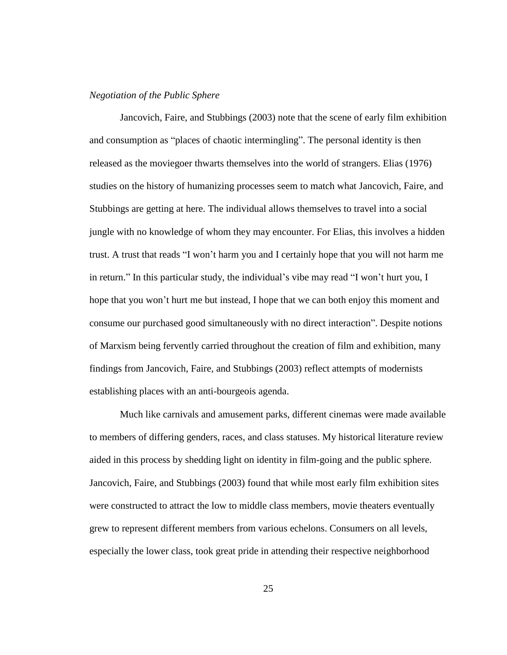#### <span id="page-30-0"></span>*Negotiation of the Public Sphere*

Jancovich, Faire, and Stubbings (2003) note that the scene of early film exhibition and consumption as "places of chaotic intermingling". The personal identity is then released as the moviegoer thwarts themselves into the world of strangers. Elias (1976) studies on the history of humanizing processes seem to match what Jancovich, Faire, and Stubbings are getting at here. The individual allows themselves to travel into a social jungle with no knowledge of whom they may encounter. For Elias, this involves a hidden trust. A trust that reads "I won't harm you and I certainly hope that you will not harm me in return." In this particular study, the individual's vibe may read "I won't hurt you, I hope that you won't hurt me but instead, I hope that we can both enjoy this moment and consume our purchased good simultaneously with no direct interaction". Despite notions of Marxism being fervently carried throughout the creation of film and exhibition, many findings from Jancovich, Faire, and Stubbings (2003) reflect attempts of modernists establishing places with an anti-bourgeois agenda.

Much like carnivals and amusement parks, different cinemas were made available to members of differing genders, races, and class statuses. My historical literature review aided in this process by shedding light on identity in film-going and the public sphere. Jancovich, Faire, and Stubbings (2003) found that while most early film exhibition sites were constructed to attract the low to middle class members, movie theaters eventually grew to represent different members from various echelons. Consumers on all levels, especially the lower class, took great pride in attending their respective neighborhood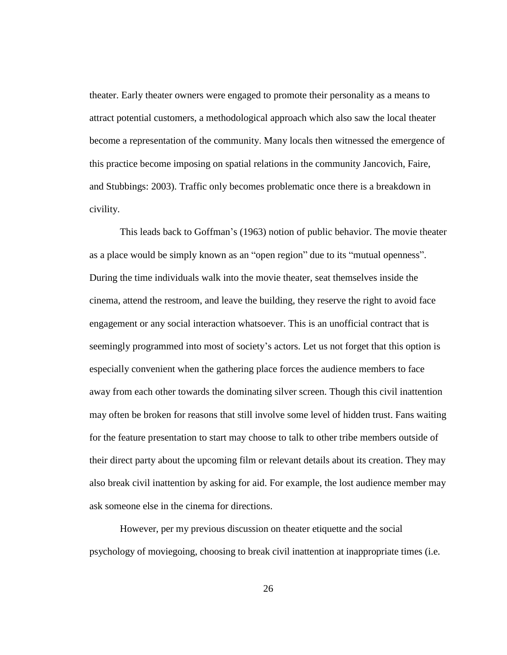theater. Early theater owners were engaged to promote their personality as a means to attract potential customers, a methodological approach which also saw the local theater become a representation of the community. Many locals then witnessed the emergence of this practice become imposing on spatial relations in the community Jancovich, Faire, and Stubbings: 2003). Traffic only becomes problematic once there is a breakdown in civility.

This leads back to Goffman's (1963) notion of public behavior. The movie theater as a place would be simply known as an "open region" due to its "mutual openness". During the time individuals walk into the movie theater, seat themselves inside the cinema, attend the restroom, and leave the building, they reserve the right to avoid face engagement or any social interaction whatsoever. This is an unofficial contract that is seemingly programmed into most of society's actors. Let us not forget that this option is especially convenient when the gathering place forces the audience members to face away from each other towards the dominating silver screen. Though this civil inattention may often be broken for reasons that still involve some level of hidden trust. Fans waiting for the feature presentation to start may choose to talk to other tribe members outside of their direct party about the upcoming film or relevant details about its creation. They may also break civil inattention by asking for aid. For example, the lost audience member may ask someone else in the cinema for directions.

However, per my previous discussion on theater etiquette and the social psychology of moviegoing, choosing to break civil inattention at inappropriate times (i.e.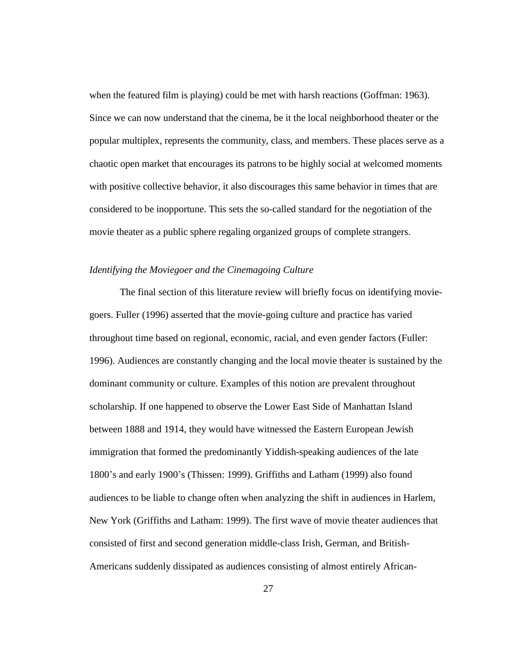when the featured film is playing) could be met with harsh reactions (Goffman: 1963). Since we can now understand that the cinema, be it the local neighborhood theater or the popular multiplex, represents the community, class, and members. These places serve as a chaotic open market that encourages its patrons to be highly social at welcomed moments with positive collective behavior, it also discourages this same behavior in times that are considered to be inopportune. This sets the so-called standard for the negotiation of the movie theater as a public sphere regaling organized groups of complete strangers.

### <span id="page-32-0"></span>*Identifying the Moviegoer and the Cinemagoing Culture*

The final section of this literature review will briefly focus on identifying moviegoers. Fuller (1996) asserted that the movie-going culture and practice has varied throughout time based on regional, economic, racial, and even gender factors (Fuller: 1996). Audiences are constantly changing and the local movie theater is sustained by the dominant community or culture. Examples of this notion are prevalent throughout scholarship. If one happened to observe the Lower East Side of Manhattan Island between 1888 and 1914, they would have witnessed the Eastern European Jewish immigration that formed the predominantly Yiddish-speaking audiences of the late 1800's and early 1900's (Thissen: 1999). Griffiths and Latham (1999) also found audiences to be liable to change often when analyzing the shift in audiences in Harlem, New York (Griffiths and Latham: 1999). The first wave of movie theater audiences that consisted of first and second generation middle-class Irish, German, and British-Americans suddenly dissipated as audiences consisting of almost entirely African-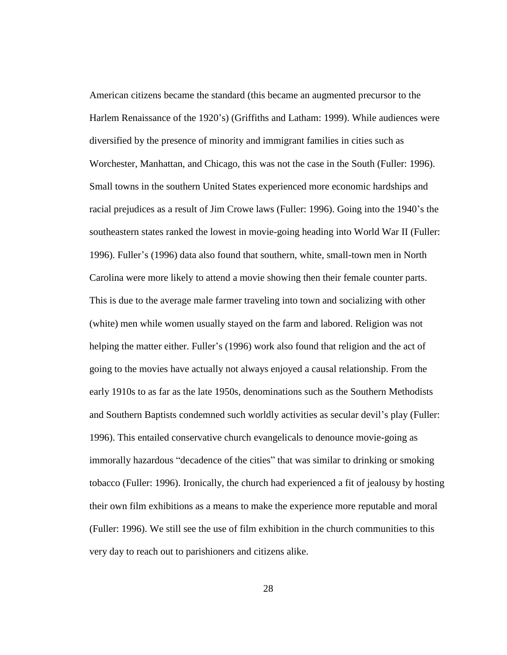American citizens became the standard (this became an augmented precursor to the Harlem Renaissance of the 1920's) (Griffiths and Latham: 1999). While audiences were diversified by the presence of minority and immigrant families in cities such as Worchester, Manhattan, and Chicago, this was not the case in the South (Fuller: 1996). Small towns in the southern United States experienced more economic hardships and racial prejudices as a result of Jim Crowe laws (Fuller: 1996). Going into the 1940's the southeastern states ranked the lowest in movie-going heading into World War II (Fuller: 1996). Fuller's (1996) data also found that southern, white, small-town men in North Carolina were more likely to attend a movie showing then their female counter parts. This is due to the average male farmer traveling into town and socializing with other (white) men while women usually stayed on the farm and labored. Religion was not helping the matter either. Fuller's (1996) work also found that religion and the act of going to the movies have actually not always enjoyed a causal relationship. From the early 1910s to as far as the late 1950s, denominations such as the Southern Methodists and Southern Baptists condemned such worldly activities as secular devil's play (Fuller: 1996). This entailed conservative church evangelicals to denounce movie-going as immorally hazardous "decadence of the cities" that was similar to drinking or smoking tobacco (Fuller: 1996). Ironically, the church had experienced a fit of jealousy by hosting their own film exhibitions as a means to make the experience more reputable and moral (Fuller: 1996). We still see the use of film exhibition in the church communities to this very day to reach out to parishioners and citizens alike.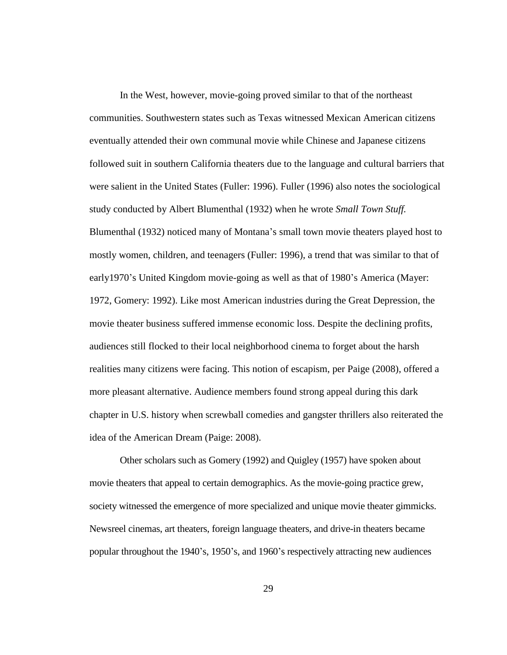In the West, however, movie-going proved similar to that of the northeast communities. Southwestern states such as Texas witnessed Mexican American citizens eventually attended their own communal movie while Chinese and Japanese citizens followed suit in southern California theaters due to the language and cultural barriers that were salient in the United States (Fuller: 1996). Fuller (1996) also notes the sociological study conducted by Albert Blumenthal (1932) when he wrote *Small Town Stuff.* Blumenthal (1932) noticed many of Montana's small town movie theaters played host to mostly women, children, and teenagers (Fuller: 1996), a trend that was similar to that of early1970's United Kingdom movie-going as well as that of 1980's America (Mayer: 1972, Gomery: 1992). Like most American industries during the Great Depression, the movie theater business suffered immense economic loss. Despite the declining profits, audiences still flocked to their local neighborhood cinema to forget about the harsh realities many citizens were facing. This notion of escapism, per Paige (2008), offered a more pleasant alternative. Audience members found strong appeal during this dark chapter in U.S. history when screwball comedies and gangster thrillers also reiterated the idea of the American Dream (Paige: 2008).

Other scholars such as Gomery (1992) and Quigley (1957) have spoken about movie theaters that appeal to certain demographics. As the movie-going practice grew, society witnessed the emergence of more specialized and unique movie theater gimmicks. Newsreel cinemas, art theaters, foreign language theaters, and drive-in theaters became popular throughout the 1940's, 1950's, and 1960's respectively attracting new audiences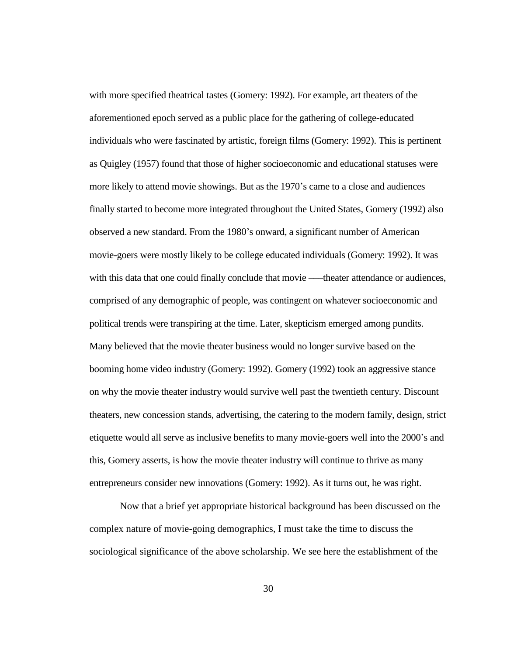with more specified theatrical tastes (Gomery: 1992). For example, art theaters of the aforementioned epoch served as a public place for the gathering of college-educated individuals who were fascinated by artistic, foreign films (Gomery: 1992). This is pertinent as Quigley (1957) found that those of higher socioeconomic and educational statuses were more likely to attend movie showings. But as the 1970's came to a close and audiences finally started to become more integrated throughout the United States, Gomery (1992) also observed a new standard. From the 1980's onward, a significant number of American movie-goers were mostly likely to be college educated individuals (Gomery: 1992). It was with this data that one could finally conclude that movie —–theater attendance or audiences, comprised of any demographic of people, was contingent on whatever socioeconomic and political trends were transpiring at the time. Later, skepticism emerged among pundits. Many believed that the movie theater business would no longer survive based on the booming home video industry (Gomery: 1992). Gomery (1992) took an aggressive stance on why the movie theater industry would survive well past the twentieth century. Discount theaters, new concession stands, advertising, the catering to the modern family, design, strict etiquette would all serve as inclusive benefits to many movie-goers well into the 2000's and this, Gomery asserts, is how the movie theater industry will continue to thrive as many entrepreneurs consider new innovations (Gomery: 1992). As it turns out, he was right.

Now that a brief yet appropriate historical background has been discussed on the complex nature of movie-going demographics, I must take the time to discuss the sociological significance of the above scholarship. We see here the establishment of the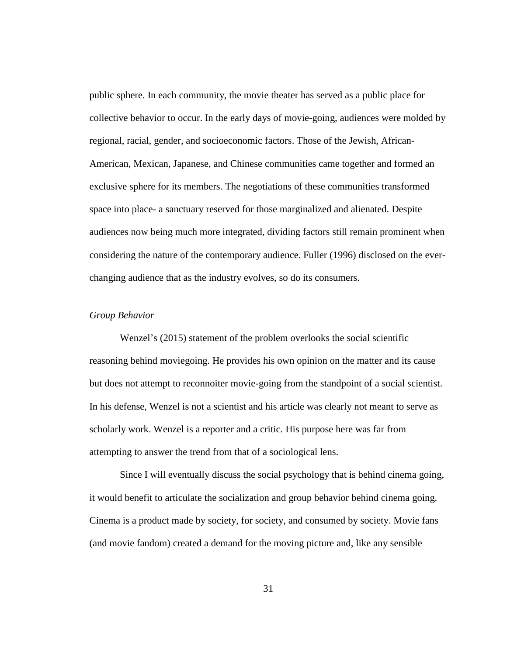public sphere. In each community, the movie theater has served as a public place for collective behavior to occur. In the early days of movie-going, audiences were molded by regional, racial, gender, and socioeconomic factors. Those of the Jewish, African-American, Mexican, Japanese, and Chinese communities came together and formed an exclusive sphere for its members. The negotiations of these communities transformed space into place- a sanctuary reserved for those marginalized and alienated. Despite audiences now being much more integrated, dividing factors still remain prominent when considering the nature of the contemporary audience. Fuller (1996) disclosed on the everchanging audience that as the industry evolves, so do its consumers.

## *Group Behavior*

Wenzel's (2015) statement of the problem overlooks the social scientific reasoning behind moviegoing. He provides his own opinion on the matter and its cause but does not attempt to reconnoiter movie-going from the standpoint of a social scientist. In his defense, Wenzel is not a scientist and his article was clearly not meant to serve as scholarly work. Wenzel is a reporter and a critic. His purpose here was far from attempting to answer the trend from that of a sociological lens.

Since I will eventually discuss the social psychology that is behind cinema going, it would benefit to articulate the socialization and group behavior behind cinema going. Cinema is a product made by society, for society, and consumed by society. Movie fans (and movie fandom) created a demand for the moving picture and, like any sensible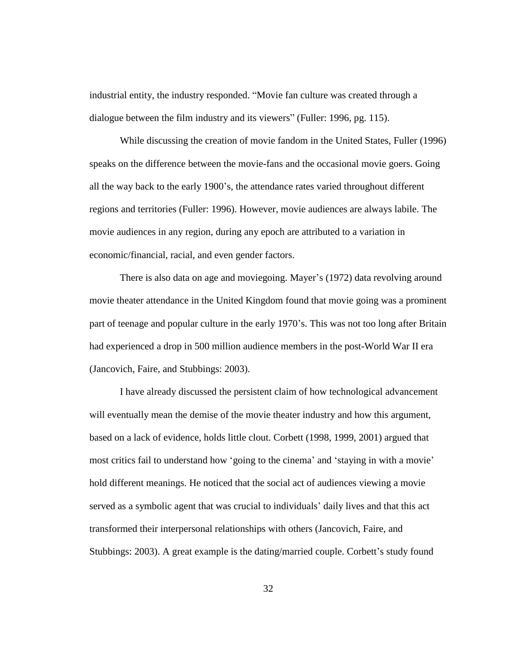industrial entity, the industry responded. "Movie fan culture was created through a dialogue between the film industry and its viewers" (Fuller: 1996, pg. 115).

While discussing the creation of movie fandom in the United States, Fuller (1996) speaks on the difference between the movie-fans and the occasional movie goers. Going all the way back to the early 1900's, the attendance rates varied throughout different regions and territories (Fuller: 1996). However, movie audiences are always labile. The movie audiences in any region, during any epoch are attributed to a variation in economic/financial, racial, and even gender factors.

There is also data on age and moviegoing. Mayer's (1972) data revolving around movie theater attendance in the United Kingdom found that movie going was a prominent part of teenage and popular culture in the early 1970's. This was not too long after Britain had experienced a drop in 500 million audience members in the post-World War II era (Jancovich, Faire, and Stubbings: 2003).

I have already discussed the persistent claim of how technological advancement will eventually mean the demise of the movie theater industry and how this argument, based on a lack of evidence, holds little clout. Corbett (1998, 1999, 2001) argued that most critics fail to understand how 'going to the cinema' and 'staying in with a movie' hold different meanings. He noticed that the social act of audiences viewing a movie served as a symbolic agent that was crucial to individuals' daily lives and that this act transformed their interpersonal relationships with others (Jancovich, Faire, and Stubbings: 2003). A great example is the dating/married couple. Corbett's study found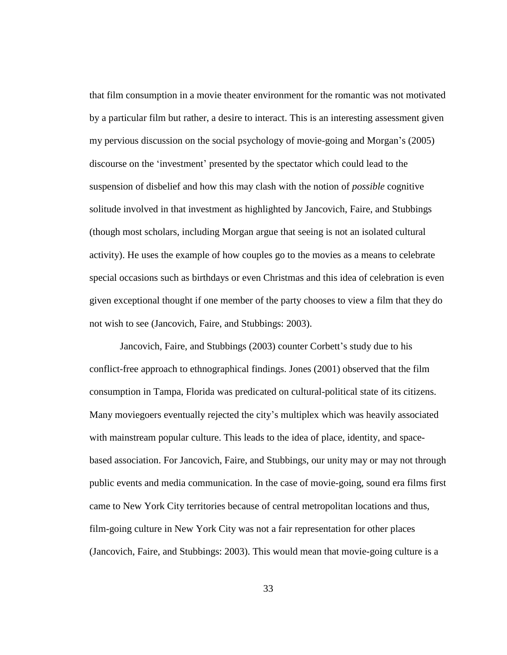that film consumption in a movie theater environment for the romantic was not motivated by a particular film but rather, a desire to interact. This is an interesting assessment given my pervious discussion on the social psychology of movie-going and Morgan's (2005) discourse on the 'investment' presented by the spectator which could lead to the suspension of disbelief and how this may clash with the notion of *possible* cognitive solitude involved in that investment as highlighted by Jancovich, Faire, and Stubbings (though most scholars, including Morgan argue that seeing is not an isolated cultural activity). He uses the example of how couples go to the movies as a means to celebrate special occasions such as birthdays or even Christmas and this idea of celebration is even given exceptional thought if one member of the party chooses to view a film that they do not wish to see (Jancovich, Faire, and Stubbings: 2003).

Jancovich, Faire, and Stubbings (2003) counter Corbett's study due to his conflict-free approach to ethnographical findings. Jones (2001) observed that the film consumption in Tampa, Florida was predicated on cultural-political state of its citizens. Many moviegoers eventually rejected the city's multiplex which was heavily associated with mainstream popular culture. This leads to the idea of place, identity, and spacebased association. For Jancovich, Faire, and Stubbings, our unity may or may not through public events and media communication. In the case of movie-going, sound era films first came to New York City territories because of central metropolitan locations and thus, film-going culture in New York City was not a fair representation for other places (Jancovich, Faire, and Stubbings: 2003). This would mean that movie-going culture is a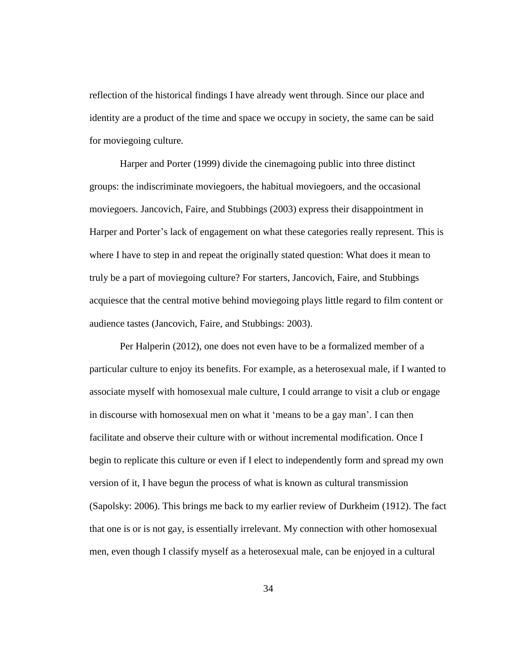reflection of the historical findings I have already went through. Since our place and identity are a product of the time and space we occupy in society, the same can be said for moviegoing culture.

Harper and Porter (1999) divide the cinemagoing public into three distinct groups: the indiscriminate moviegoers, the habitual moviegoers, and the occasional moviegoers. Jancovich, Faire, and Stubbings (2003) express their disappointment in Harper and Porter's lack of engagement on what these categories really represent. This is where I have to step in and repeat the originally stated question: What does it mean to truly be a part of moviegoing culture? For starters, Jancovich, Faire, and Stubbings acquiesce that the central motive behind moviegoing plays little regard to film content or audience tastes (Jancovich, Faire, and Stubbings: 2003).

Per Halperin (2012), one does not even have to be a formalized member of a particular culture to enjoy its benefits. For example, as a heterosexual male, if I wanted to associate myself with homosexual male culture, I could arrange to visit a club or engage in discourse with homosexual men on what it 'means to be a gay man'. I can then facilitate and observe their culture with or without incremental modification. Once I begin to replicate this culture or even if I elect to independently form and spread my own version of it, I have begun the process of what is known as cultural transmission (Sapolsky: 2006). This brings me back to my earlier review of Durkheim (1912). The fact that one is or is not gay, is essentially irrelevant. My connection with other homosexual men, even though I classify myself as a heterosexual male, can be enjoyed in a cultural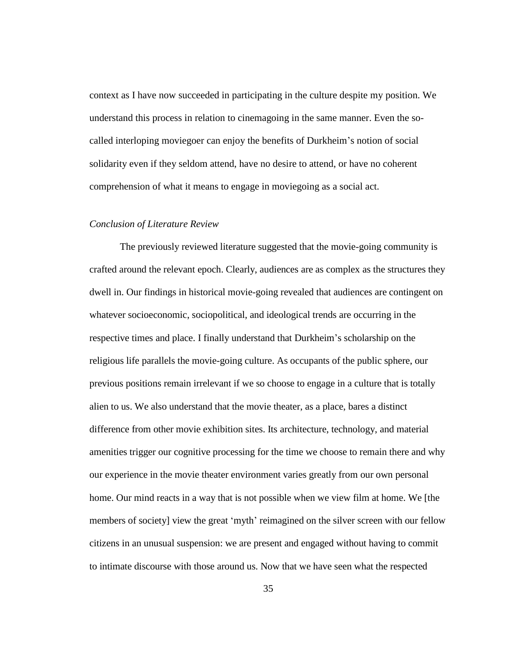context as I have now succeeded in participating in the culture despite my position. We understand this process in relation to cinemagoing in the same manner. Even the socalled interloping moviegoer can enjoy the benefits of Durkheim's notion of social solidarity even if they seldom attend, have no desire to attend, or have no coherent comprehension of what it means to engage in moviegoing as a social act.

### *Conclusion of Literature Review*

The previously reviewed literature suggested that the movie-going community is crafted around the relevant epoch. Clearly, audiences are as complex as the structures they dwell in. Our findings in historical movie-going revealed that audiences are contingent on whatever socioeconomic, sociopolitical, and ideological trends are occurring in the respective times and place. I finally understand that Durkheim's scholarship on the religious life parallels the movie-going culture. As occupants of the public sphere, our previous positions remain irrelevant if we so choose to engage in a culture that is totally alien to us. We also understand that the movie theater, as a place, bares a distinct difference from other movie exhibition sites. Its architecture, technology, and material amenities trigger our cognitive processing for the time we choose to remain there and why our experience in the movie theater environment varies greatly from our own personal home. Our mind reacts in a way that is not possible when we view film at home. We [the members of society] view the great 'myth' reimagined on the silver screen with our fellow citizens in an unusual suspension: we are present and engaged without having to commit to intimate discourse with those around us. Now that we have seen what the respected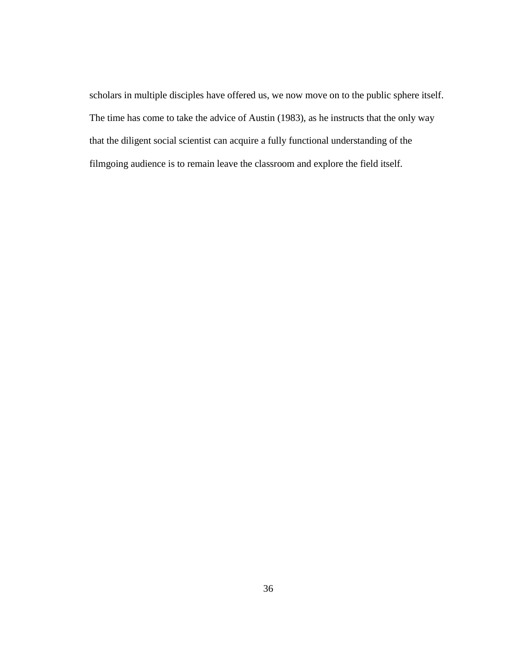scholars in multiple disciples have offered us, we now move on to the public sphere itself. The time has come to take the advice of Austin (1983), as he instructs that the only way that the diligent social scientist can acquire a fully functional understanding of the filmgoing audience is to remain leave the classroom and explore the field itself.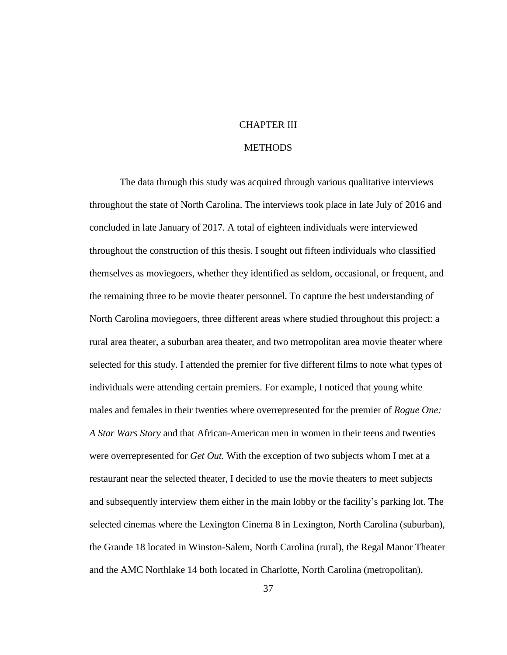# CHAPTER III

# **METHODS**

The data through this study was acquired through various qualitative interviews throughout the state of North Carolina. The interviews took place in late July of 2016 and concluded in late January of 2017. A total of eighteen individuals were interviewed throughout the construction of this thesis. I sought out fifteen individuals who classified themselves as moviegoers, whether they identified as seldom, occasional, or frequent, and the remaining three to be movie theater personnel. To capture the best understanding of North Carolina moviegoers, three different areas where studied throughout this project: a rural area theater, a suburban area theater, and two metropolitan area movie theater where selected for this study. I attended the premier for five different films to note what types of individuals were attending certain premiers. For example, I noticed that young white males and females in their twenties where overrepresented for the premier of *Rogue One: A Star Wars Story* and that African-American men in women in their teens and twenties were overrepresented for *Get Out.* With the exception of two subjects whom I met at a restaurant near the selected theater, I decided to use the movie theaters to meet subjects and subsequently interview them either in the main lobby or the facility's parking lot. The selected cinemas where the Lexington Cinema 8 in Lexington, North Carolina (suburban), the Grande 18 located in Winston-Salem, North Carolina (rural), the Regal Manor Theater and the AMC Northlake 14 both located in Charlotte, North Carolina (metropolitan).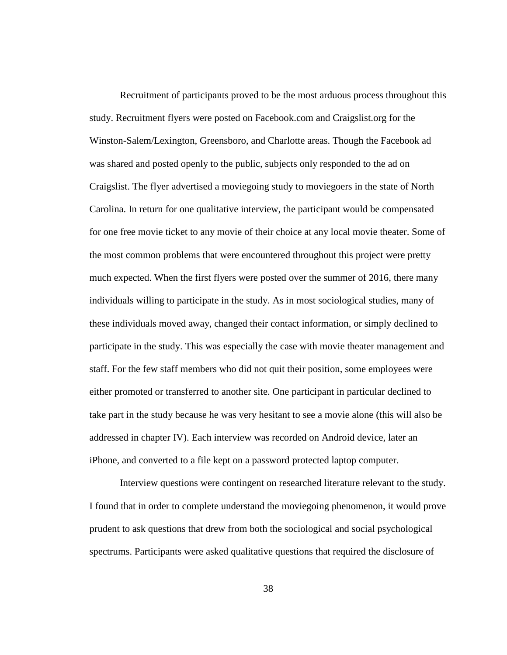Recruitment of participants proved to be the most arduous process throughout this study. Recruitment flyers were posted on Facebook.com and Craigslist.org for the Winston-Salem/Lexington, Greensboro, and Charlotte areas. Though the Facebook ad was shared and posted openly to the public, subjects only responded to the ad on Craigslist. The flyer advertised a moviegoing study to moviegoers in the state of North Carolina. In return for one qualitative interview, the participant would be compensated for one free movie ticket to any movie of their choice at any local movie theater. Some of the most common problems that were encountered throughout this project were pretty much expected. When the first flyers were posted over the summer of 2016, there many individuals willing to participate in the study. As in most sociological studies, many of these individuals moved away, changed their contact information, or simply declined to participate in the study. This was especially the case with movie theater management and staff. For the few staff members who did not quit their position, some employees were either promoted or transferred to another site. One participant in particular declined to take part in the study because he was very hesitant to see a movie alone (this will also be addressed in chapter IV). Each interview was recorded on Android device, later an iPhone, and converted to a file kept on a password protected laptop computer.

Interview questions were contingent on researched literature relevant to the study. I found that in order to complete understand the moviegoing phenomenon, it would prove prudent to ask questions that drew from both the sociological and social psychological spectrums. Participants were asked qualitative questions that required the disclosure of

38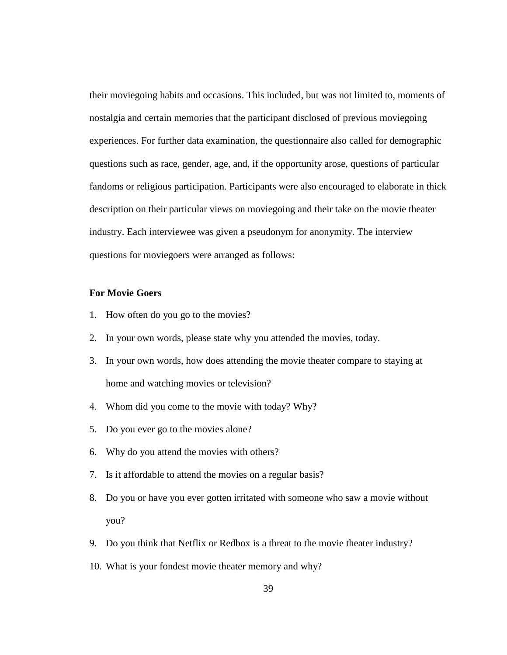their moviegoing habits and occasions. This included, but was not limited to, moments of nostalgia and certain memories that the participant disclosed of previous moviegoing experiences. For further data examination, the questionnaire also called for demographic questions such as race, gender, age, and, if the opportunity arose, questions of particular fandoms or religious participation. Participants were also encouraged to elaborate in thick description on their particular views on moviegoing and their take on the movie theater industry. Each interviewee was given a pseudonym for anonymity. The interview questions for moviegoers were arranged as follows:

# **For Movie Goers**

- 1. How often do you go to the movies?
- 2. In your own words, please state why you attended the movies, today.
- 3. In your own words, how does attending the movie theater compare to staying at home and watching movies or television?
- 4. Whom did you come to the movie with today? Why?
- 5. Do you ever go to the movies alone?
- 6. Why do you attend the movies with others?
- 7. Is it affordable to attend the movies on a regular basis?
- 8. Do you or have you ever gotten irritated with someone who saw a movie without you?
- 9. Do you think that Netflix or Redbox is a threat to the movie theater industry?
- 10. What is your fondest movie theater memory and why?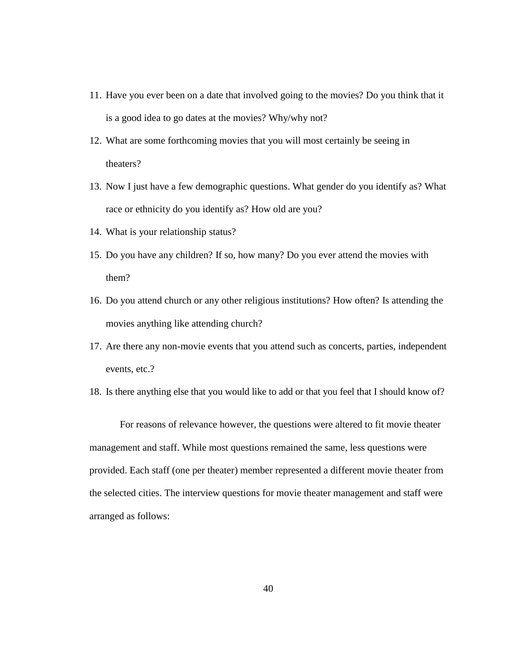- 11. Have you ever been on a date that involved going to the movies? Do you think that it is a good idea to go dates at the movies? Why/why not?
- 12. What are some forthcoming movies that you will most certainly be seeing in theaters?
- 13. Now I just have a few demographic questions. What gender do you identify as? What race or ethnicity do you identify as? How old are you?
- 14. What is your relationship status?
- 15. Do you have any children? If so, how many? Do you ever attend the movies with them?
- 16. Do you attend church or any other religious institutions? How often? Is attending the movies anything like attending church?
- 17. Are there any non-movie events that you attend such as concerts, parties, independent events, etc.?
- 18. Is there anything else that you would like to add or that you feel that I should know of?

For reasons of relevance however, the questions were altered to fit movie theater management and staff. While most questions remained the same, less questions were provided. Each staff (one per theater) member represented a different movie theater from the selected cities. The interview questions for movie theater management and staff were arranged as follows: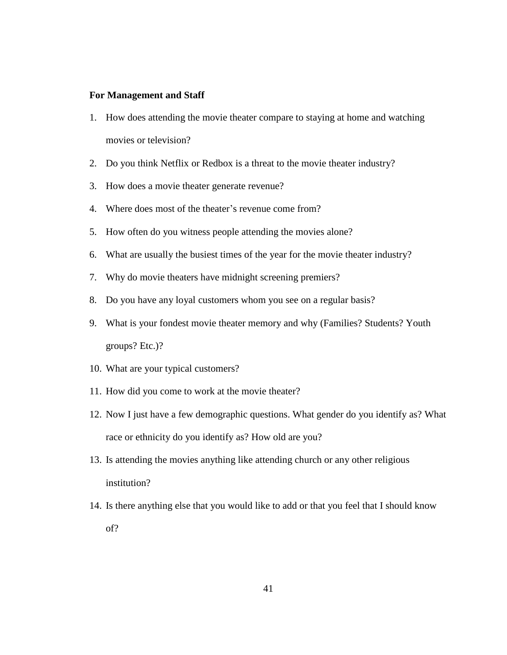# **For Management and Staff**

- 1. How does attending the movie theater compare to staying at home and watching movies or television?
- 2. Do you think Netflix or Redbox is a threat to the movie theater industry?
- 3. How does a movie theater generate revenue?
- 4. Where does most of the theater's revenue come from?
- 5. How often do you witness people attending the movies alone?
- 6. What are usually the busiest times of the year for the movie theater industry?
- 7. Why do movie theaters have midnight screening premiers?
- 8. Do you have any loyal customers whom you see on a regular basis?
- 9. What is your fondest movie theater memory and why (Families? Students? Youth groups? Etc.)?
- 10. What are your typical customers?
- 11. How did you come to work at the movie theater?
- 12. Now I just have a few demographic questions. What gender do you identify as? What race or ethnicity do you identify as? How old are you?
- 13. Is attending the movies anything like attending church or any other religious institution?
- 14. Is there anything else that you would like to add or that you feel that I should know of?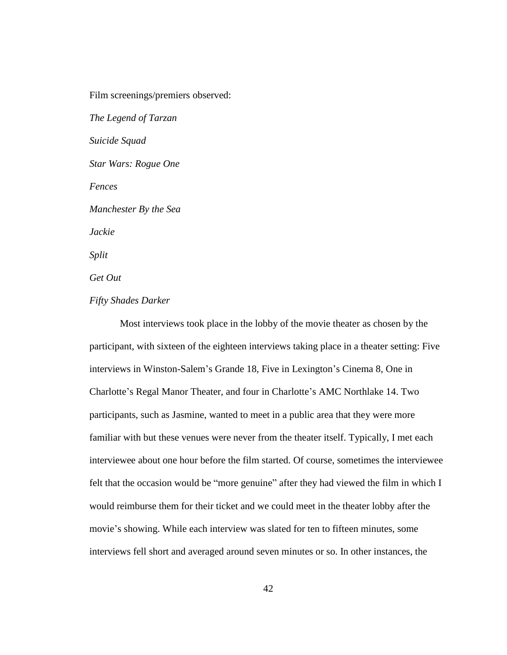Film screenings/premiers observed:

*The Legend of Tarzan Suicide Squad Star Wars: Rogue One Fences Manchester By the Sea Jackie Split Get Out Fifty Shades Darker*

Most interviews took place in the lobby of the movie theater as chosen by the participant, with sixteen of the eighteen interviews taking place in a theater setting: Five interviews in Winston-Salem's Grande 18, Five in Lexington's Cinema 8, One in Charlotte's Regal Manor Theater, and four in Charlotte's AMC Northlake 14. Two participants, such as Jasmine, wanted to meet in a public area that they were more familiar with but these venues were never from the theater itself. Typically, I met each interviewee about one hour before the film started. Of course, sometimes the interviewee felt that the occasion would be "more genuine" after they had viewed the film in which I would reimburse them for their ticket and we could meet in the theater lobby after the movie's showing. While each interview was slated for ten to fifteen minutes, some interviews fell short and averaged around seven minutes or so. In other instances, the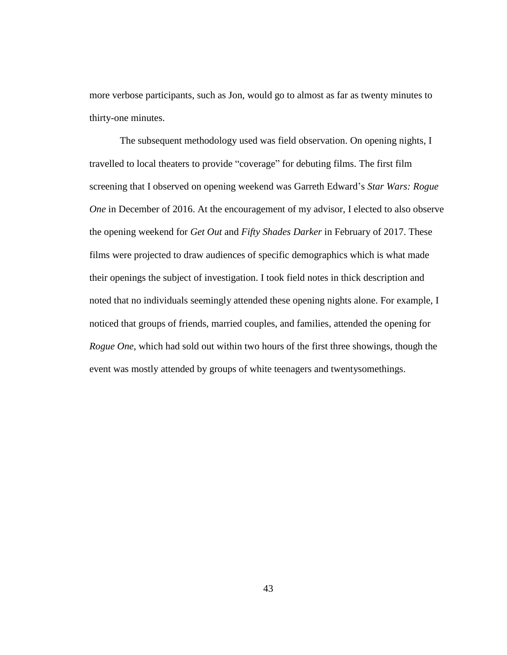more verbose participants, such as Jon, would go to almost as far as twenty minutes to thirty-one minutes.

The subsequent methodology used was field observation. On opening nights, I travelled to local theaters to provide "coverage" for debuting films. The first film screening that I observed on opening weekend was Garreth Edward's *Star Wars: Rogue One* in December of 2016. At the encouragement of my advisor, I elected to also observe the opening weekend for *Get Out* and *Fifty Shades Darker* in February of 2017. These films were projected to draw audiences of specific demographics which is what made their openings the subject of investigation. I took field notes in thick description and noted that no individuals seemingly attended these opening nights alone. For example, I noticed that groups of friends, married couples, and families, attended the opening for *Rogue One*, which had sold out within two hours of the first three showings, though the event was mostly attended by groups of white teenagers and twentysomethings.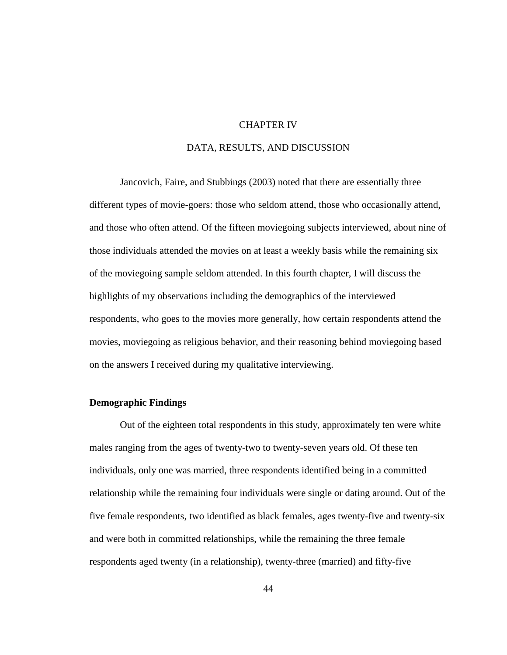## CHAPTER IV

# DATA, RESULTS, AND DISCUSSION

Jancovich, Faire, and Stubbings (2003) noted that there are essentially three different types of movie-goers: those who seldom attend, those who occasionally attend, and those who often attend. Of the fifteen moviegoing subjects interviewed, about nine of those individuals attended the movies on at least a weekly basis while the remaining six of the moviegoing sample seldom attended. In this fourth chapter, I will discuss the highlights of my observations including the demographics of the interviewed respondents, who goes to the movies more generally, how certain respondents attend the movies, moviegoing as religious behavior, and their reasoning behind moviegoing based on the answers I received during my qualitative interviewing.

## **Demographic Findings**

Out of the eighteen total respondents in this study, approximately ten were white males ranging from the ages of twenty-two to twenty-seven years old. Of these ten individuals, only one was married, three respondents identified being in a committed relationship while the remaining four individuals were single or dating around. Out of the five female respondents, two identified as black females, ages twenty-five and twenty-six and were both in committed relationships, while the remaining the three female respondents aged twenty (in a relationship), twenty-three (married) and fifty-five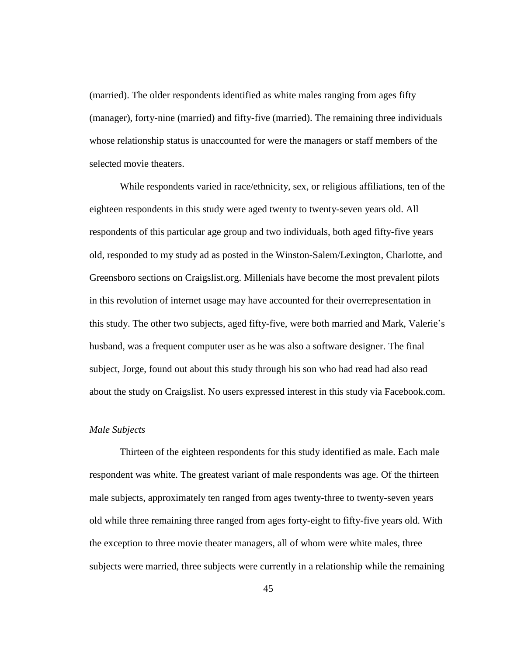(married). The older respondents identified as white males ranging from ages fifty (manager), forty-nine (married) and fifty-five (married). The remaining three individuals whose relationship status is unaccounted for were the managers or staff members of the selected movie theaters.

While respondents varied in race/ethnicity, sex, or religious affiliations, ten of the eighteen respondents in this study were aged twenty to twenty-seven years old. All respondents of this particular age group and two individuals, both aged fifty-five years old, responded to my study ad as posted in the Winston-Salem/Lexington, Charlotte, and Greensboro sections on Craigslist.org. Millenials have become the most prevalent pilots in this revolution of internet usage may have accounted for their overrepresentation in this study. The other two subjects, aged fifty-five, were both married and Mark, Valerie's husband, was a frequent computer user as he was also a software designer. The final subject, Jorge, found out about this study through his son who had read had also read about the study on Craigslist. No users expressed interest in this study via Facebook.com.

#### *Male Subjects*

Thirteen of the eighteen respondents for this study identified as male. Each male respondent was white. The greatest variant of male respondents was age. Of the thirteen male subjects, approximately ten ranged from ages twenty-three to twenty-seven years old while three remaining three ranged from ages forty-eight to fifty-five years old. With the exception to three movie theater managers, all of whom were white males, three subjects were married, three subjects were currently in a relationship while the remaining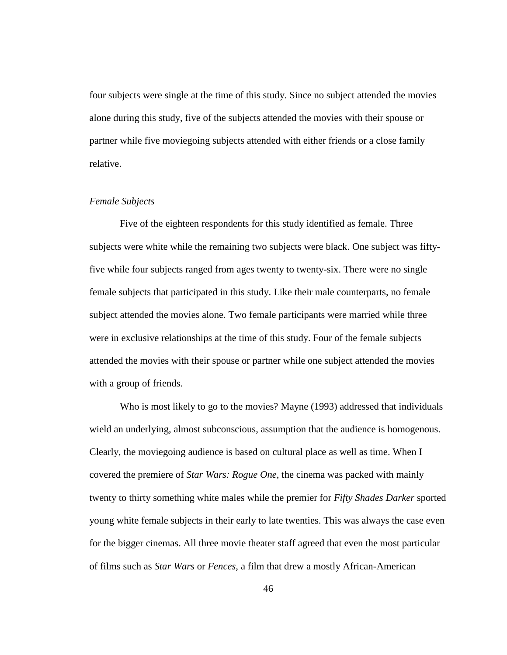four subjects were single at the time of this study. Since no subject attended the movies alone during this study, five of the subjects attended the movies with their spouse or partner while five moviegoing subjects attended with either friends or a close family relative.

# *Female Subjects*

Five of the eighteen respondents for this study identified as female. Three subjects were white while the remaining two subjects were black. One subject was fiftyfive while four subjects ranged from ages twenty to twenty-six. There were no single female subjects that participated in this study. Like their male counterparts, no female subject attended the movies alone. Two female participants were married while three were in exclusive relationships at the time of this study. Four of the female subjects attended the movies with their spouse or partner while one subject attended the movies with a group of friends.

Who is most likely to go to the movies? Mayne (1993) addressed that individuals wield an underlying, almost subconscious, assumption that the audience is homogenous. Clearly, the moviegoing audience is based on cultural place as well as time. When I covered the premiere of *Star Wars: Rogue One*, the cinema was packed with mainly twenty to thirty something white males while the premier for *Fifty Shades Darker* sported young white female subjects in their early to late twenties. This was always the case even for the bigger cinemas. All three movie theater staff agreed that even the most particular of films such as *Star Wars* or *Fences*, a film that drew a mostly African-American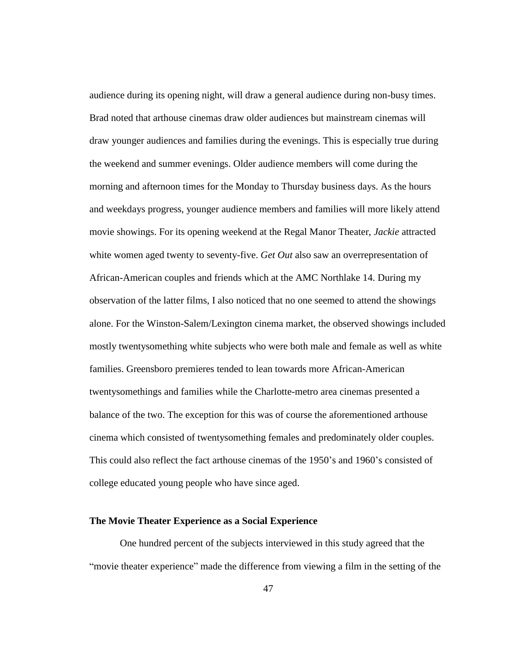audience during its opening night, will draw a general audience during non-busy times. Brad noted that arthouse cinemas draw older audiences but mainstream cinemas will draw younger audiences and families during the evenings. This is especially true during the weekend and summer evenings. Older audience members will come during the morning and afternoon times for the Monday to Thursday business days. As the hours and weekdays progress, younger audience members and families will more likely attend movie showings. For its opening weekend at the Regal Manor Theater, *Jackie* attracted white women aged twenty to seventy-five. *Get Out* also saw an overrepresentation of African-American couples and friends which at the AMC Northlake 14. During my observation of the latter films, I also noticed that no one seemed to attend the showings alone. For the Winston-Salem/Lexington cinema market, the observed showings included mostly twentysomething white subjects who were both male and female as well as white families. Greensboro premieres tended to lean towards more African-American twentysomethings and families while the Charlotte-metro area cinemas presented a balance of the two. The exception for this was of course the aforementioned arthouse cinema which consisted of twentysomething females and predominately older couples. This could also reflect the fact arthouse cinemas of the 1950's and 1960's consisted of college educated young people who have since aged.

#### **The Movie Theater Experience as a Social Experience**

One hundred percent of the subjects interviewed in this study agreed that the "movie theater experience" made the difference from viewing a film in the setting of the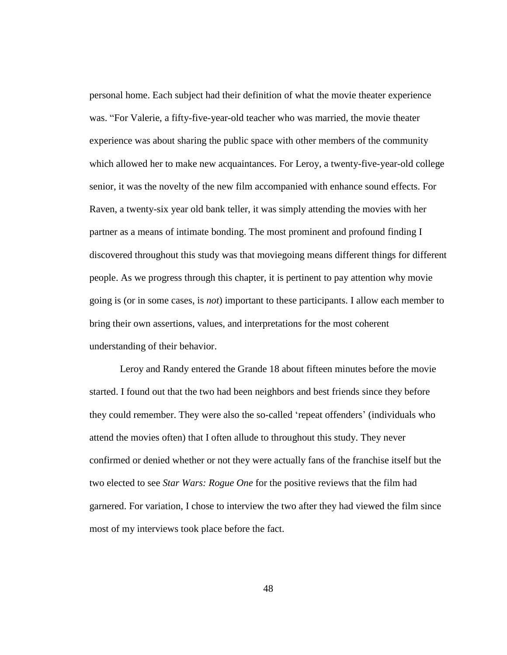personal home. Each subject had their definition of what the movie theater experience was. "For Valerie, a fifty-five-year-old teacher who was married, the movie theater experience was about sharing the public space with other members of the community which allowed her to make new acquaintances. For Leroy, a twenty-five-year-old college senior, it was the novelty of the new film accompanied with enhance sound effects. For Raven, a twenty-six year old bank teller, it was simply attending the movies with her partner as a means of intimate bonding. The most prominent and profound finding I discovered throughout this study was that moviegoing means different things for different people. As we progress through this chapter, it is pertinent to pay attention why movie going is (or in some cases, is *not*) important to these participants. I allow each member to bring their own assertions, values, and interpretations for the most coherent understanding of their behavior.

Leroy and Randy entered the Grande 18 about fifteen minutes before the movie started. I found out that the two had been neighbors and best friends since they before they could remember. They were also the so-called 'repeat offenders' (individuals who attend the movies often) that I often allude to throughout this study. They never confirmed or denied whether or not they were actually fans of the franchise itself but the two elected to see *Star Wars: Rogue One* for the positive reviews that the film had garnered. For variation, I chose to interview the two after they had viewed the film since most of my interviews took place before the fact.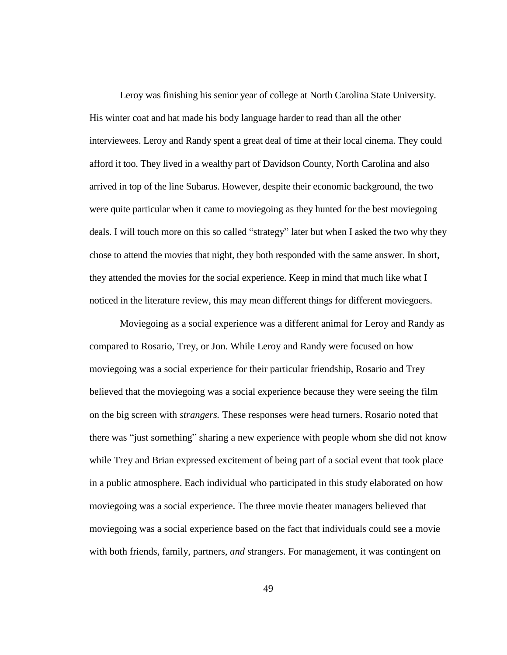Leroy was finishing his senior year of college at North Carolina State University. His winter coat and hat made his body language harder to read than all the other interviewees. Leroy and Randy spent a great deal of time at their local cinema. They could afford it too. They lived in a wealthy part of Davidson County, North Carolina and also arrived in top of the line Subarus. However, despite their economic background, the two were quite particular when it came to moviegoing as they hunted for the best moviegoing deals. I will touch more on this so called "strategy" later but when I asked the two why they chose to attend the movies that night, they both responded with the same answer. In short, they attended the movies for the social experience. Keep in mind that much like what I noticed in the literature review, this may mean different things for different moviegoers.

Moviegoing as a social experience was a different animal for Leroy and Randy as compared to Rosario, Trey, or Jon. While Leroy and Randy were focused on how moviegoing was a social experience for their particular friendship, Rosario and Trey believed that the moviegoing was a social experience because they were seeing the film on the big screen with *strangers.* These responses were head turners. Rosario noted that there was "just something" sharing a new experience with people whom she did not know while Trey and Brian expressed excitement of being part of a social event that took place in a public atmosphere. Each individual who participated in this study elaborated on how moviegoing was a social experience. The three movie theater managers believed that moviegoing was a social experience based on the fact that individuals could see a movie with both friends, family, partners, *and* strangers. For management, it was contingent on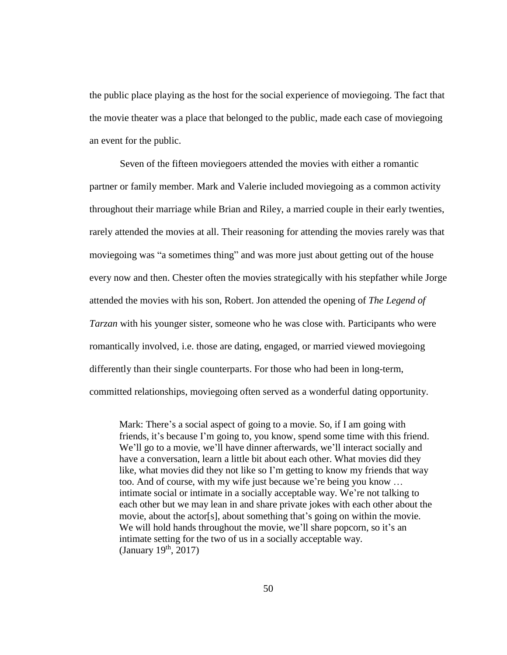the public place playing as the host for the social experience of moviegoing. The fact that the movie theater was a place that belonged to the public, made each case of moviegoing an event for the public.

Seven of the fifteen moviegoers attended the movies with either a romantic partner or family member. Mark and Valerie included moviegoing as a common activity throughout their marriage while Brian and Riley, a married couple in their early twenties, rarely attended the movies at all. Their reasoning for attending the movies rarely was that moviegoing was "a sometimes thing" and was more just about getting out of the house every now and then. Chester often the movies strategically with his stepfather while Jorge attended the movies with his son, Robert. Jon attended the opening of *The Legend of Tarzan* with his younger sister, someone who he was close with. Participants who were romantically involved, i.e. those are dating, engaged, or married viewed moviegoing differently than their single counterparts. For those who had been in long-term, committed relationships, moviegoing often served as a wonderful dating opportunity.

Mark: There's a social aspect of going to a movie. So, if I am going with friends, it's because I'm going to, you know, spend some time with this friend. We'll go to a movie, we'll have dinner afterwards, we'll interact socially and have a conversation, learn a little bit about each other. What movies did they like, what movies did they not like so I'm getting to know my friends that way too. And of course, with my wife just because we're being you know … intimate social or intimate in a socially acceptable way. We're not talking to each other but we may lean in and share private jokes with each other about the movie, about the actor[s], about something that's going on within the movie. We will hold hands throughout the movie, we'll share popcorn, so it's an intimate setting for the two of us in a socially acceptable way. (January 19<sup>th</sup>, 2017)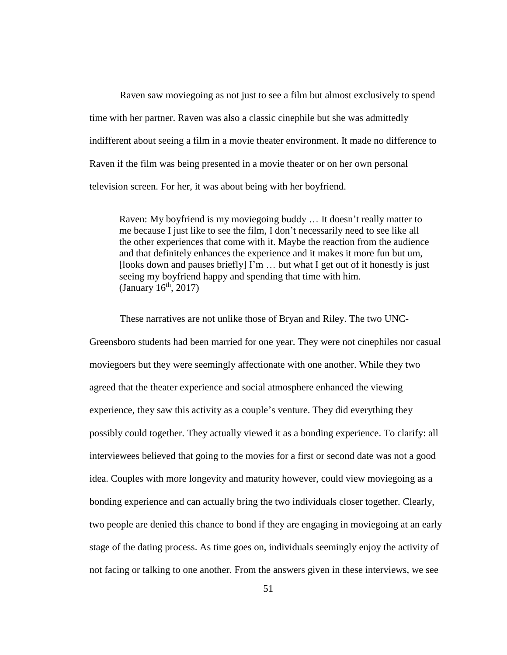Raven saw moviegoing as not just to see a film but almost exclusively to spend time with her partner. Raven was also a classic cinephile but she was admittedly indifferent about seeing a film in a movie theater environment. It made no difference to Raven if the film was being presented in a movie theater or on her own personal television screen. For her, it was about being with her boyfriend.

Raven: My boyfriend is my moviegoing buddy … It doesn't really matter to me because I just like to see the film, I don't necessarily need to see like all the other experiences that come with it. Maybe the reaction from the audience and that definitely enhances the experience and it makes it more fun but um, [looks down and pauses briefly] I'm … but what I get out of it honestly is just seeing my boyfriend happy and spending that time with him. (January  $16^{\text{th}}$ , 2017)

These narratives are not unlike those of Bryan and Riley. The two UNC-Greensboro students had been married for one year. They were not cinephiles nor casual moviegoers but they were seemingly affectionate with one another. While they two agreed that the theater experience and social atmosphere enhanced the viewing experience, they saw this activity as a couple's venture. They did everything they possibly could together. They actually viewed it as a bonding experience. To clarify: all interviewees believed that going to the movies for a first or second date was not a good idea. Couples with more longevity and maturity however, could view moviegoing as a bonding experience and can actually bring the two individuals closer together. Clearly, two people are denied this chance to bond if they are engaging in moviegoing at an early stage of the dating process. As time goes on, individuals seemingly enjoy the activity of not facing or talking to one another. From the answers given in these interviews, we see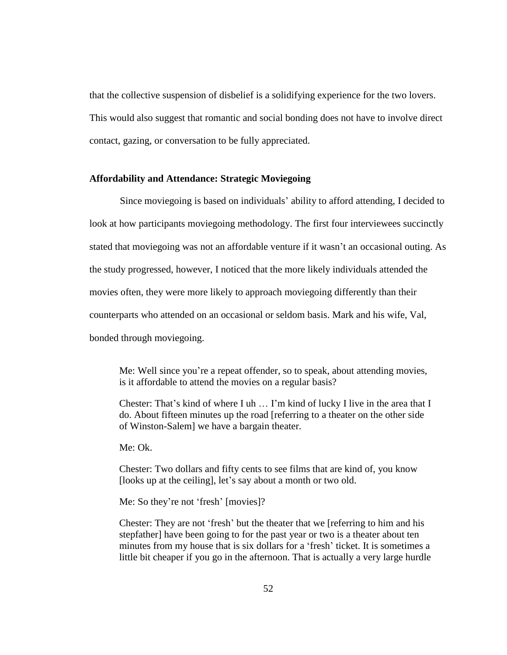that the collective suspension of disbelief is a solidifying experience for the two lovers. This would also suggest that romantic and social bonding does not have to involve direct contact, gazing, or conversation to be fully appreciated.

#### **Affordability and Attendance: Strategic Moviegoing**

Since moviegoing is based on individuals' ability to afford attending, I decided to look at how participants moviegoing methodology. The first four interviewees succinctly stated that moviegoing was not an affordable venture if it wasn't an occasional outing. As the study progressed, however, I noticed that the more likely individuals attended the movies often, they were more likely to approach moviegoing differently than their counterparts who attended on an occasional or seldom basis. Mark and his wife, Val, bonded through moviegoing.

Me: Well since you're a repeat offender, so to speak, about attending movies, is it affordable to attend the movies on a regular basis?

Chester: That's kind of where I uh … I'm kind of lucky I live in the area that I do. About fifteen minutes up the road [referring to a theater on the other side of Winston-Salem] we have a bargain theater.

Me: Ok.

Chester: Two dollars and fifty cents to see films that are kind of, you know [looks up at the ceiling], let's say about a month or two old.

Me: So they're not 'fresh' [movies]?

Chester: They are not 'fresh' but the theater that we [referring to him and his stepfather] have been going to for the past year or two is a theater about ten minutes from my house that is six dollars for a 'fresh' ticket. It is sometimes a little bit cheaper if you go in the afternoon. That is actually a very large hurdle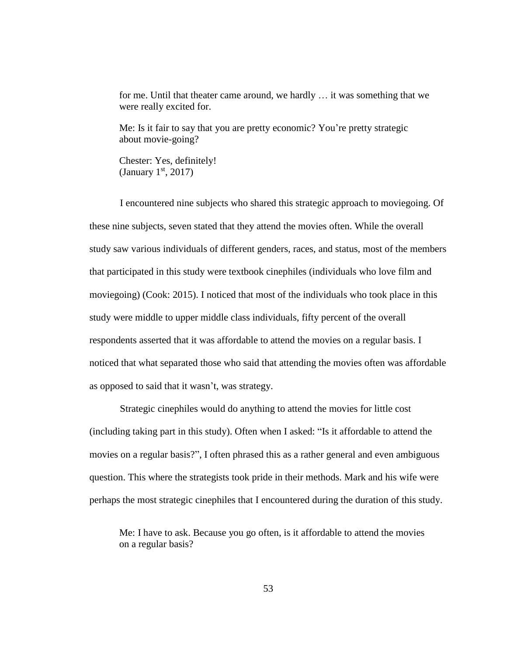for me. Until that theater came around, we hardly … it was something that we were really excited for.

Me: Is it fair to say that you are pretty economic? You're pretty strategic about movie-going?

Chester: Yes, definitely! (January  $1<sup>st</sup>$ , 2017)

I encountered nine subjects who shared this strategic approach to moviegoing. Of these nine subjects, seven stated that they attend the movies often. While the overall study saw various individuals of different genders, races, and status, most of the members that participated in this study were textbook cinephiles (individuals who love film and moviegoing) (Cook: 2015). I noticed that most of the individuals who took place in this study were middle to upper middle class individuals, fifty percent of the overall respondents asserted that it was affordable to attend the movies on a regular basis. I noticed that what separated those who said that attending the movies often was affordable as opposed to said that it wasn't, was strategy.

Strategic cinephiles would do anything to attend the movies for little cost (including taking part in this study). Often when I asked: "Is it affordable to attend the movies on a regular basis?", I often phrased this as a rather general and even ambiguous question. This where the strategists took pride in their methods. Mark and his wife were perhaps the most strategic cinephiles that I encountered during the duration of this study.

Me: I have to ask. Because you go often, is it affordable to attend the movies on a regular basis?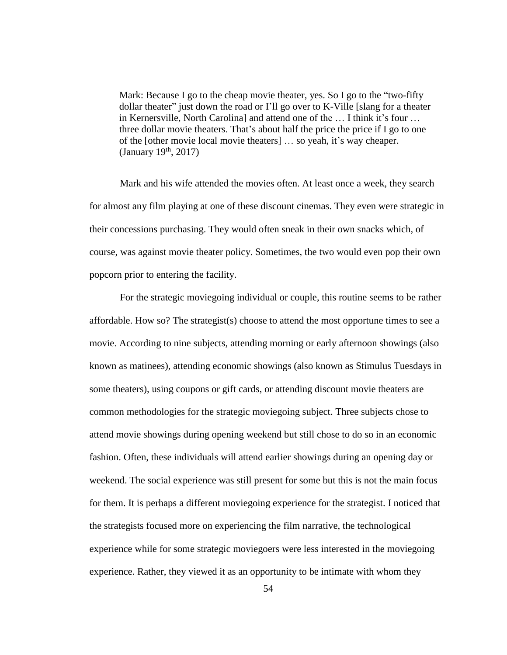Mark: Because I go to the cheap movie theater, yes. So I go to the "two-fifty dollar theater" just down the road or I'll go over to K-Ville [slang for a theater in Kernersville, North Carolina] and attend one of the … I think it's four … three dollar movie theaters. That's about half the price the price if I go to one of the [other movie local movie theaters] … so yeah, it's way cheaper.  $(January 19<sup>th</sup>, 2017)$ 

Mark and his wife attended the movies often. At least once a week, they search for almost any film playing at one of these discount cinemas. They even were strategic in their concessions purchasing. They would often sneak in their own snacks which, of course, was against movie theater policy. Sometimes, the two would even pop their own popcorn prior to entering the facility.

For the strategic moviegoing individual or couple, this routine seems to be rather affordable. How so? The strategist(s) choose to attend the most opportune times to see a movie. According to nine subjects, attending morning or early afternoon showings (also known as matinees), attending economic showings (also known as Stimulus Tuesdays in some theaters), using coupons or gift cards, or attending discount movie theaters are common methodologies for the strategic moviegoing subject. Three subjects chose to attend movie showings during opening weekend but still chose to do so in an economic fashion. Often, these individuals will attend earlier showings during an opening day or weekend. The social experience was still present for some but this is not the main focus for them. It is perhaps a different moviegoing experience for the strategist. I noticed that the strategists focused more on experiencing the film narrative, the technological experience while for some strategic moviegoers were less interested in the moviegoing experience. Rather, they viewed it as an opportunity to be intimate with whom they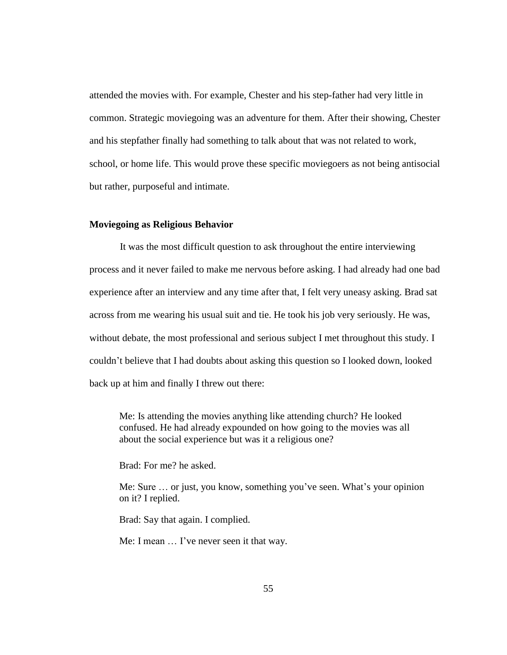attended the movies with. For example, Chester and his step-father had very little in common. Strategic moviegoing was an adventure for them. After their showing, Chester and his stepfather finally had something to talk about that was not related to work, school, or home life. This would prove these specific moviegoers as not being antisocial but rather, purposeful and intimate.

### **Moviegoing as Religious Behavior**

It was the most difficult question to ask throughout the entire interviewing process and it never failed to make me nervous before asking. I had already had one bad experience after an interview and any time after that, I felt very uneasy asking. Brad sat across from me wearing his usual suit and tie. He took his job very seriously. He was, without debate, the most professional and serious subject I met throughout this study. I couldn't believe that I had doubts about asking this question so I looked down, looked back up at him and finally I threw out there:

Me: Is attending the movies anything like attending church? He looked confused. He had already expounded on how going to the movies was all about the social experience but was it a religious one?

Brad: For me? he asked.

Me: Sure … or just, you know, something you've seen. What's your opinion on it? I replied.

Brad: Say that again. I complied.

Me: I mean … I've never seen it that way.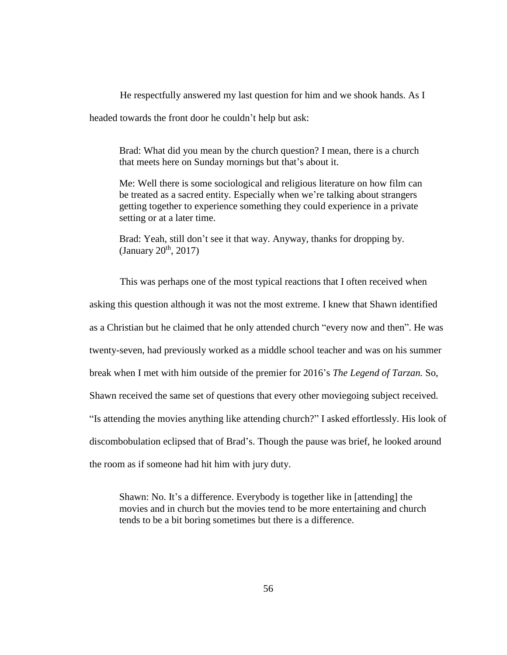He respectfully answered my last question for him and we shook hands. As I headed towards the front door he couldn't help but ask:

Brad: What did you mean by the church question? I mean, there is a church that meets here on Sunday mornings but that's about it.

Me: Well there is some sociological and religious literature on how film can be treated as a sacred entity. Especially when we're talking about strangers getting together to experience something they could experience in a private setting or at a later time.

Brad: Yeah, still don't see it that way. Anyway, thanks for dropping by.  $(January 20<sup>th</sup>, 2017)$ 

This was perhaps one of the most typical reactions that I often received when asking this question although it was not the most extreme. I knew that Shawn identified as a Christian but he claimed that he only attended church "every now and then". He was twenty-seven, had previously worked as a middle school teacher and was on his summer break when I met with him outside of the premier for 2016's *The Legend of Tarzan.* So, Shawn received the same set of questions that every other moviegoing subject received. "Is attending the movies anything like attending church?" I asked effortlessly. His look of discombobulation eclipsed that of Brad's. Though the pause was brief, he looked around the room as if someone had hit him with jury duty.

Shawn: No. It's a difference. Everybody is together like in [attending] the movies and in church but the movies tend to be more entertaining and church tends to be a bit boring sometimes but there is a difference.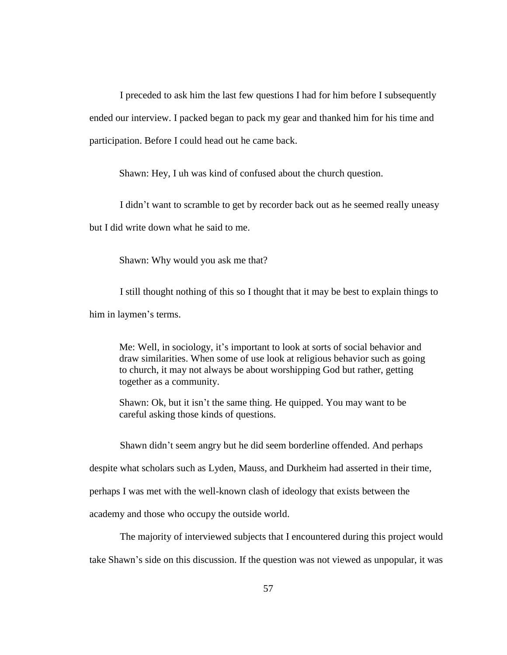I preceded to ask him the last few questions I had for him before I subsequently ended our interview. I packed began to pack my gear and thanked him for his time and participation. Before I could head out he came back.

Shawn: Hey, I uh was kind of confused about the church question.

I didn't want to scramble to get by recorder back out as he seemed really uneasy

but I did write down what he said to me.

Shawn: Why would you ask me that?

I still thought nothing of this so I thought that it may be best to explain things to him in laymen's terms.

Me: Well, in sociology, it's important to look at sorts of social behavior and draw similarities. When some of use look at religious behavior such as going to church, it may not always be about worshipping God but rather, getting together as a community.

Shawn: Ok, but it isn't the same thing. He quipped. You may want to be careful asking those kinds of questions.

Shawn didn't seem angry but he did seem borderline offended. And perhaps despite what scholars such as Lyden, Mauss, and Durkheim had asserted in their time, perhaps I was met with the well-known clash of ideology that exists between the academy and those who occupy the outside world.

The majority of interviewed subjects that I encountered during this project would take Shawn's side on this discussion. If the question was not viewed as unpopular, it was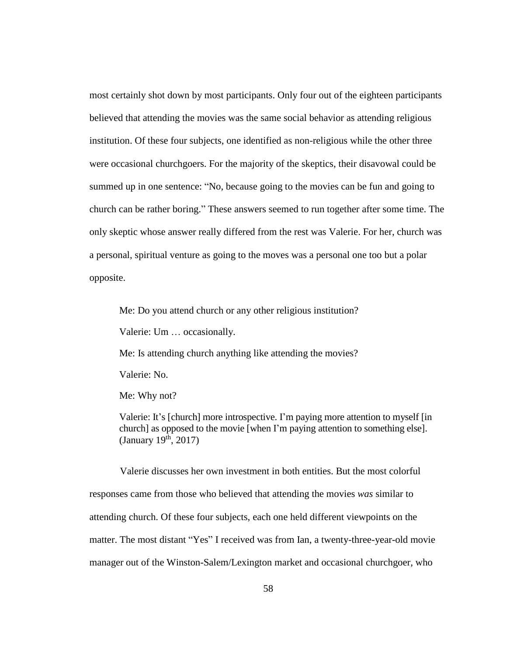most certainly shot down by most participants. Only four out of the eighteen participants believed that attending the movies was the same social behavior as attending religious institution. Of these four subjects, one identified as non-religious while the other three were occasional churchgoers. For the majority of the skeptics, their disavowal could be summed up in one sentence: "No, because going to the movies can be fun and going to church can be rather boring." These answers seemed to run together after some time. The only skeptic whose answer really differed from the rest was Valerie. For her, church was a personal, spiritual venture as going to the moves was a personal one too but a polar opposite.

Me: Do you attend church or any other religious institution?

Valerie: Um … occasionally.

Me: Is attending church anything like attending the movies?

Valerie: No.

Me: Why not?

Valerie: It's [church] more introspective. I'm paying more attention to myself [in church] as opposed to the movie [when I'm paying attention to something else]. (January  $19^{\text{th}}$ , 2017)

Valerie discusses her own investment in both entities. But the most colorful responses came from those who believed that attending the movies *was* similar to attending church. Of these four subjects, each one held different viewpoints on the matter. The most distant "Yes" I received was from Ian, a twenty-three-year-old movie manager out of the Winston-Salem/Lexington market and occasional churchgoer, who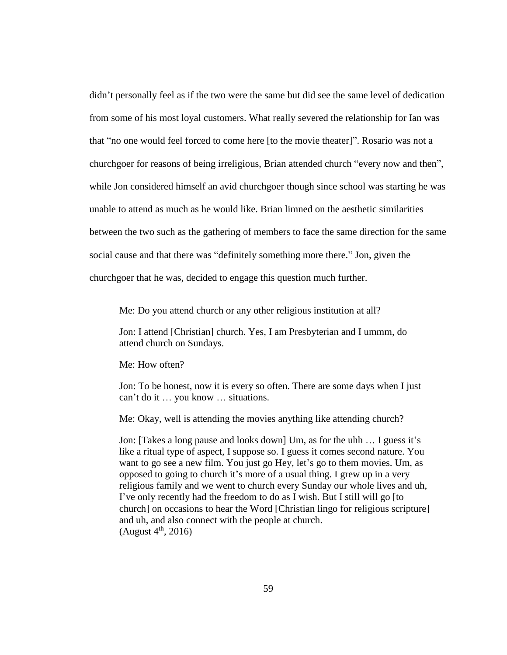didn't personally feel as if the two were the same but did see the same level of dedication from some of his most loyal customers. What really severed the relationship for Ian was that "no one would feel forced to come here [to the movie theater]". Rosario was not a churchgoer for reasons of being irreligious, Brian attended church "every now and then", while Jon considered himself an avid churchgoer though since school was starting he was unable to attend as much as he would like. Brian limned on the aesthetic similarities between the two such as the gathering of members to face the same direction for the same social cause and that there was "definitely something more there." Jon, given the churchgoer that he was, decided to engage this question much further.

Me: Do you attend church or any other religious institution at all?

Jon: I attend [Christian] church. Yes, I am Presbyterian and I ummm, do attend church on Sundays.

Me: How often?

Jon: To be honest, now it is every so often. There are some days when I just can't do it … you know … situations.

Me: Okay, well is attending the movies anything like attending church?

Jon: [Takes a long pause and looks down] Um, as for the uhh … I guess it's like a ritual type of aspect, I suppose so. I guess it comes second nature. You want to go see a new film. You just go Hey, let's go to them movies. Um, as opposed to going to church it's more of a usual thing. I grew up in a very religious family and we went to church every Sunday our whole lives and uh, I've only recently had the freedom to do as I wish. But I still will go [to church] on occasions to hear the Word [Christian lingo for religious scripture] and uh, and also connect with the people at church.  $(August 4<sup>th</sup>, 2016)$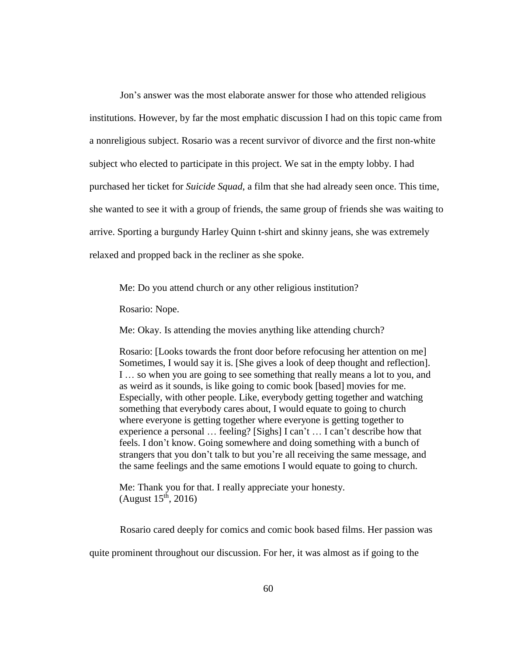Jon's answer was the most elaborate answer for those who attended religious institutions. However, by far the most emphatic discussion I had on this topic came from a nonreligious subject. Rosario was a recent survivor of divorce and the first non-white subject who elected to participate in this project. We sat in the empty lobby. I had purchased her ticket for *Suicide Squad*, a film that she had already seen once. This time, she wanted to see it with a group of friends, the same group of friends she was waiting to arrive. Sporting a burgundy Harley Quinn t-shirt and skinny jeans, she was extremely relaxed and propped back in the recliner as she spoke.

Me: Do you attend church or any other religious institution?

Rosario: Nope.

Me: Okay. Is attending the movies anything like attending church?

Rosario: [Looks towards the front door before refocusing her attention on me] Sometimes, I would say it is. [She gives a look of deep thought and reflection]. I … so when you are going to see something that really means a lot to you, and as weird as it sounds, is like going to comic book [based] movies for me. Especially, with other people. Like, everybody getting together and watching something that everybody cares about, I would equate to going to church where everyone is getting together where everyone is getting together to experience a personal … feeling? [Sighs] I can't … I can't describe how that feels. I don't know. Going somewhere and doing something with a bunch of strangers that you don't talk to but you're all receiving the same message, and the same feelings and the same emotions I would equate to going to church.

Me: Thank you for that. I really appreciate your honesty. (August  $15^{th}$ , 2016)

Rosario cared deeply for comics and comic book based films. Her passion was quite prominent throughout our discussion. For her, it was almost as if going to the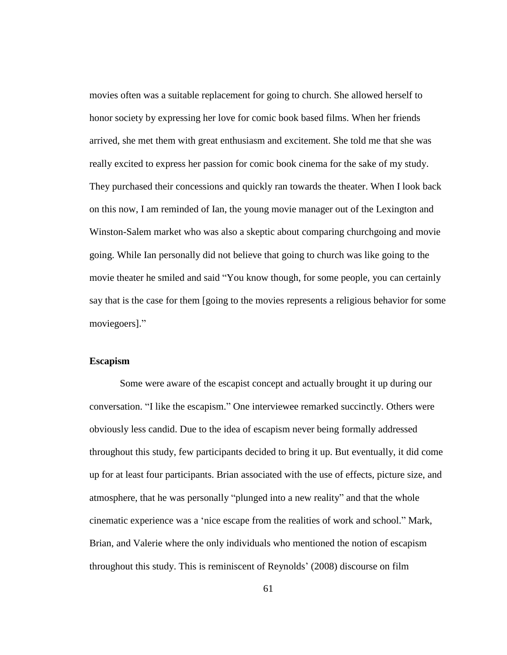movies often was a suitable replacement for going to church. She allowed herself to honor society by expressing her love for comic book based films. When her friends arrived, she met them with great enthusiasm and excitement. She told me that she was really excited to express her passion for comic book cinema for the sake of my study. They purchased their concessions and quickly ran towards the theater. When I look back on this now, I am reminded of Ian, the young movie manager out of the Lexington and Winston-Salem market who was also a skeptic about comparing churchgoing and movie going. While Ian personally did not believe that going to church was like going to the movie theater he smiled and said "You know though, for some people, you can certainly say that is the case for them [going to the movies represents a religious behavior for some moviegoers]."

## **Escapism**

Some were aware of the escapist concept and actually brought it up during our conversation. "I like the escapism." One interviewee remarked succinctly. Others were obviously less candid. Due to the idea of escapism never being formally addressed throughout this study, few participants decided to bring it up. But eventually, it did come up for at least four participants. Brian associated with the use of effects, picture size, and atmosphere, that he was personally "plunged into a new reality" and that the whole cinematic experience was a 'nice escape from the realities of work and school." Mark, Brian, and Valerie where the only individuals who mentioned the notion of escapism throughout this study. This is reminiscent of Reynolds' (2008) discourse on film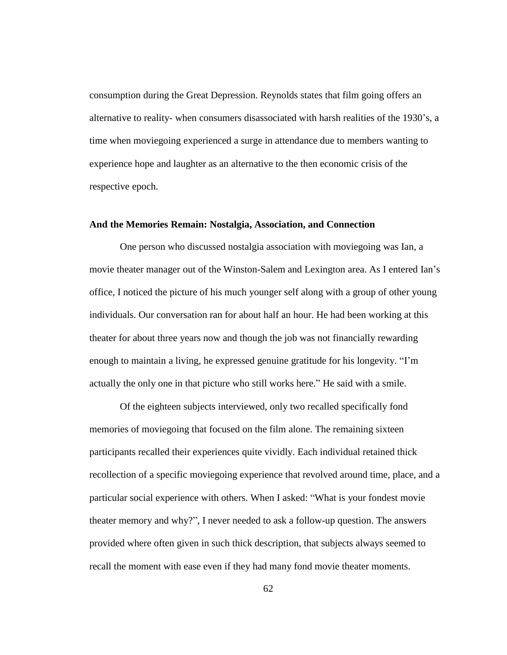consumption during the Great Depression. Reynolds states that film going offers an alternative to reality- when consumers disassociated with harsh realities of the 1930's, a time when moviegoing experienced a surge in attendance due to members wanting to experience hope and laughter as an alternative to the then economic crisis of the respective epoch.

### **And the Memories Remain: Nostalgia, Association, and Connection**

One person who discussed nostalgia association with moviegoing was Ian, a movie theater manager out of the Winston-Salem and Lexington area. As I entered Ian's office, I noticed the picture of his much younger self along with a group of other young individuals. Our conversation ran for about half an hour. He had been working at this theater for about three years now and though the job was not financially rewarding enough to maintain a living, he expressed genuine gratitude for his longevity. "I'm actually the only one in that picture who still works here." He said with a smile.

Of the eighteen subjects interviewed, only two recalled specifically fond memories of moviegoing that focused on the film alone. The remaining sixteen participants recalled their experiences quite vividly. Each individual retained thick recollection of a specific moviegoing experience that revolved around time, place, and a particular social experience with others. When I asked: "What is your fondest movie theater memory and why?", I never needed to ask a follow-up question. The answers provided where often given in such thick description, that subjects always seemed to recall the moment with ease even if they had many fond movie theater moments.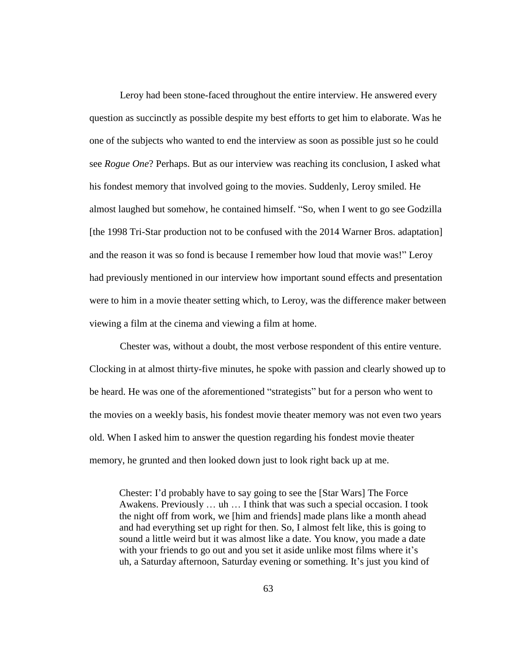Leroy had been stone-faced throughout the entire interview. He answered every question as succinctly as possible despite my best efforts to get him to elaborate. Was he one of the subjects who wanted to end the interview as soon as possible just so he could see *Rogue One*? Perhaps. But as our interview was reaching its conclusion, I asked what his fondest memory that involved going to the movies. Suddenly, Leroy smiled. He almost laughed but somehow, he contained himself. "So, when I went to go see Godzilla [the 1998 Tri-Star production not to be confused with the 2014 Warner Bros. adaptation] and the reason it was so fond is because I remember how loud that movie was!" Leroy had previously mentioned in our interview how important sound effects and presentation were to him in a movie theater setting which, to Leroy, was the difference maker between viewing a film at the cinema and viewing a film at home.

Chester was, without a doubt, the most verbose respondent of this entire venture. Clocking in at almost thirty-five minutes, he spoke with passion and clearly showed up to be heard. He was one of the aforementioned "strategists" but for a person who went to the movies on a weekly basis, his fondest movie theater memory was not even two years old. When I asked him to answer the question regarding his fondest movie theater memory, he grunted and then looked down just to look right back up at me.

Chester: I'd probably have to say going to see the [Star Wars] The Force Awakens. Previously … uh … I think that was such a special occasion. I took the night off from work, we [him and friends] made plans like a month ahead and had everything set up right for then. So, I almost felt like, this is going to sound a little weird but it was almost like a date. You know, you made a date with your friends to go out and you set it aside unlike most films where it's uh, a Saturday afternoon, Saturday evening or something. It's just you kind of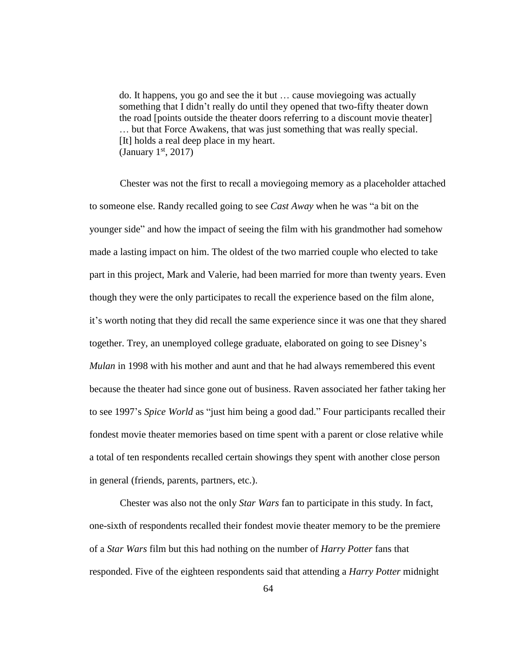do. It happens, you go and see the it but … cause moviegoing was actually something that I didn't really do until they opened that two-fifty theater down the road [points outside the theater doors referring to a discount movie theater] … but that Force Awakens, that was just something that was really special. [It] holds a real deep place in my heart. (January  $1<sup>st</sup>$ , 2017)

Chester was not the first to recall a moviegoing memory as a placeholder attached to someone else. Randy recalled going to see *Cast Away* when he was "a bit on the younger side" and how the impact of seeing the film with his grandmother had somehow made a lasting impact on him. The oldest of the two married couple who elected to take part in this project, Mark and Valerie, had been married for more than twenty years. Even though they were the only participates to recall the experience based on the film alone, it's worth noting that they did recall the same experience since it was one that they shared together. Trey, an unemployed college graduate, elaborated on going to see Disney's *Mulan* in 1998 with his mother and aunt and that he had always remembered this event because the theater had since gone out of business. Raven associated her father taking her to see 1997's *Spice World* as "just him being a good dad." Four participants recalled their fondest movie theater memories based on time spent with a parent or close relative while a total of ten respondents recalled certain showings they spent with another close person in general (friends, parents, partners, etc.).

Chester was also not the only *Star Wars* fan to participate in this study. In fact, one-sixth of respondents recalled their fondest movie theater memory to be the premiere of a *Star Wars* film but this had nothing on the number of *Harry Potter* fans that responded. Five of the eighteen respondents said that attending a *Harry Potter* midnight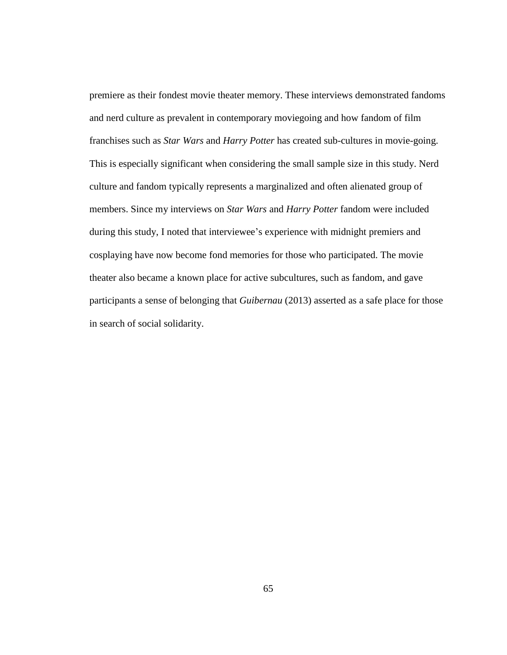premiere as their fondest movie theater memory. These interviews demonstrated fandoms and nerd culture as prevalent in contemporary moviegoing and how fandom of film franchises such as *Star Wars* and *Harry Potter* has created sub-cultures in movie-going. This is especially significant when considering the small sample size in this study. Nerd culture and fandom typically represents a marginalized and often alienated group of members. Since my interviews on *Star Wars* and *Harry Potter* fandom were included during this study, I noted that interviewee's experience with midnight premiers and cosplaying have now become fond memories for those who participated. The movie theater also became a known place for active subcultures, such as fandom, and gave participants a sense of belonging that *[Guibernau](http://www.amazon.com/s/ref=dp_byline_sr_book_1?ie=UTF8&text=Montserrat+Guibernau&search-alias=books&field-author=Montserrat+Guibernau&sort=relevancerank)* (2013) asserted as a safe place for those in search of social solidarity.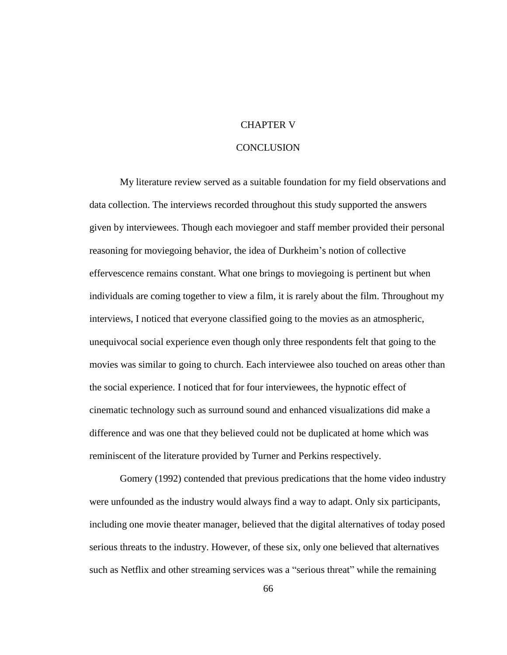# CHAPTER V

# **CONCLUSION**

My literature review served as a suitable foundation for my field observations and data collection. The interviews recorded throughout this study supported the answers given by interviewees. Though each moviegoer and staff member provided their personal reasoning for moviegoing behavior, the idea of Durkheim's notion of collective effervescence remains constant. What one brings to moviegoing is pertinent but when individuals are coming together to view a film, it is rarely about the film. Throughout my interviews, I noticed that everyone classified going to the movies as an atmospheric, unequivocal social experience even though only three respondents felt that going to the movies was similar to going to church. Each interviewee also touched on areas other than the social experience. I noticed that for four interviewees, the hypnotic effect of cinematic technology such as surround sound and enhanced visualizations did make a difference and was one that they believed could not be duplicated at home which was reminiscent of the literature provided by Turner and Perkins respectively.

Gomery (1992) contended that previous predications that the home video industry were unfounded as the industry would always find a way to adapt. Only six participants, including one movie theater manager, believed that the digital alternatives of today posed serious threats to the industry. However, of these six, only one believed that alternatives such as Netflix and other streaming services was a "serious threat" while the remaining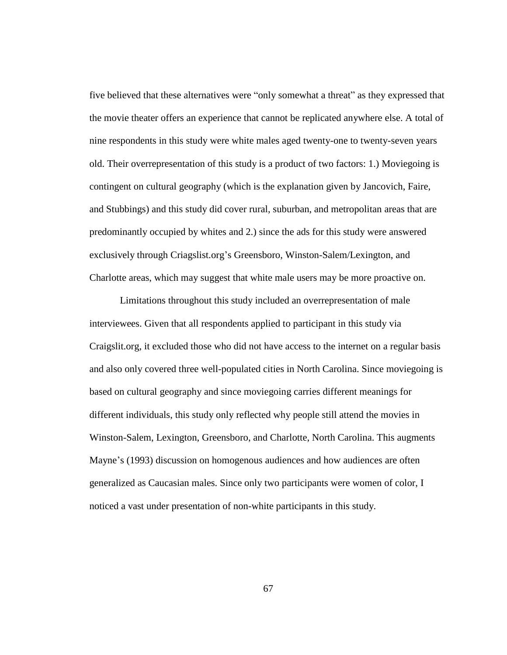five believed that these alternatives were "only somewhat a threat" as they expressed that the movie theater offers an experience that cannot be replicated anywhere else. A total of nine respondents in this study were white males aged twenty-one to twenty-seven years old. Their overrepresentation of this study is a product of two factors: 1.) Moviegoing is contingent on cultural geography (which is the explanation given by Jancovich, Faire, and Stubbings) and this study did cover rural, suburban, and metropolitan areas that are predominantly occupied by whites and 2.) since the ads for this study were answered exclusively through Criagslist.org's Greensboro, Winston-Salem/Lexington, and Charlotte areas, which may suggest that white male users may be more proactive on.

Limitations throughout this study included an overrepresentation of male interviewees. Given that all respondents applied to participant in this study via Craigslit.org, it excluded those who did not have access to the internet on a regular basis and also only covered three well-populated cities in North Carolina. Since moviegoing is based on cultural geography and since moviegoing carries different meanings for different individuals, this study only reflected why people still attend the movies in Winston-Salem, Lexington, Greensboro, and Charlotte, North Carolina. This augments Mayne's (1993) discussion on homogenous audiences and how audiences are often generalized as Caucasian males. Since only two participants were women of color, I noticed a vast under presentation of non-white participants in this study.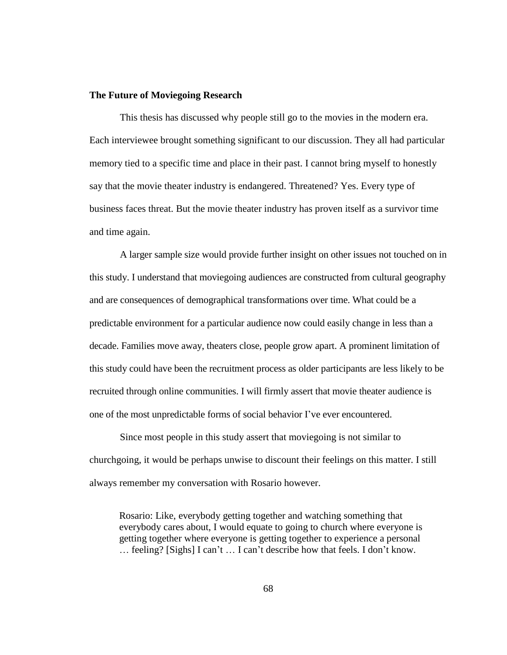## **The Future of Moviegoing Research**

This thesis has discussed why people still go to the movies in the modern era. Each interviewee brought something significant to our discussion. They all had particular memory tied to a specific time and place in their past. I cannot bring myself to honestly say that the movie theater industry is endangered. Threatened? Yes. Every type of business faces threat. But the movie theater industry has proven itself as a survivor time and time again.

A larger sample size would provide further insight on other issues not touched on in this study. I understand that moviegoing audiences are constructed from cultural geography and are consequences of demographical transformations over time. What could be a predictable environment for a particular audience now could easily change in less than a decade. Families move away, theaters close, people grow apart. A prominent limitation of this study could have been the recruitment process as older participants are less likely to be recruited through online communities. I will firmly assert that movie theater audience is one of the most unpredictable forms of social behavior I've ever encountered.

Since most people in this study assert that moviegoing is not similar to churchgoing, it would be perhaps unwise to discount their feelings on this matter. I still always remember my conversation with Rosario however.

Rosario: Like, everybody getting together and watching something that everybody cares about, I would equate to going to church where everyone is getting together where everyone is getting together to experience a personal … feeling? [Sighs] I can't … I can't describe how that feels. I don't know.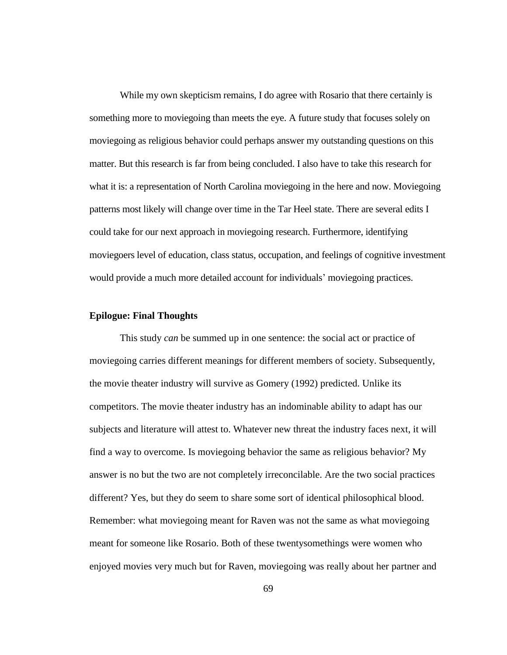While my own skepticism remains, I do agree with Rosario that there certainly is something more to moviegoing than meets the eye. A future study that focuses solely on moviegoing as religious behavior could perhaps answer my outstanding questions on this matter. But this research is far from being concluded. I also have to take this research for what it is: a representation of North Carolina moviegoing in the here and now. Moviegoing patterns most likely will change over time in the Tar Heel state. There are several edits I could take for our next approach in moviegoing research. Furthermore, identifying moviegoers level of education, class status, occupation, and feelings of cognitive investment would provide a much more detailed account for individuals' moviegoing practices.

## **Epilogue: Final Thoughts**

This study *can* be summed up in one sentence: the social act or practice of moviegoing carries different meanings for different members of society. Subsequently, the movie theater industry will survive as Gomery (1992) predicted. Unlike its competitors. The movie theater industry has an indominable ability to adapt has our subjects and literature will attest to. Whatever new threat the industry faces next, it will find a way to overcome. Is moviegoing behavior the same as religious behavior? My answer is no but the two are not completely irreconcilable. Are the two social practices different? Yes, but they do seem to share some sort of identical philosophical blood. Remember: what moviegoing meant for Raven was not the same as what moviegoing meant for someone like Rosario. Both of these twentysomethings were women who enjoyed movies very much but for Raven, moviegoing was really about her partner and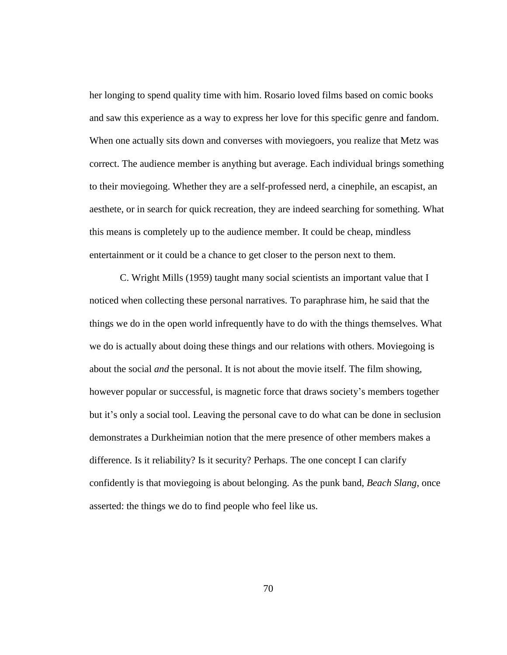her longing to spend quality time with him. Rosario loved films based on comic books and saw this experience as a way to express her love for this specific genre and fandom. When one actually sits down and converses with moviegoers, you realize that Metz was correct. The audience member is anything but average. Each individual brings something to their moviegoing. Whether they are a self-professed nerd, a cinephile, an escapist, an aesthete, or in search for quick recreation, they are indeed searching for something. What this means is completely up to the audience member. It could be cheap, mindless entertainment or it could be a chance to get closer to the person next to them.

C. Wright Mills (1959) taught many social scientists an important value that I noticed when collecting these personal narratives. To paraphrase him, he said that the things we do in the open world infrequently have to do with the things themselves. What we do is actually about doing these things and our relations with others. Moviegoing is about the social *and* the personal. It is not about the movie itself. The film showing, however popular or successful, is magnetic force that draws society's members together but it's only a social tool. Leaving the personal cave to do what can be done in seclusion demonstrates a Durkheimian notion that the mere presence of other members makes a difference. Is it reliability? Is it security? Perhaps. The one concept I can clarify confidently is that moviegoing is about belonging. As the punk band, *Beach Slang*, once asserted: the things we do to find people who feel like us.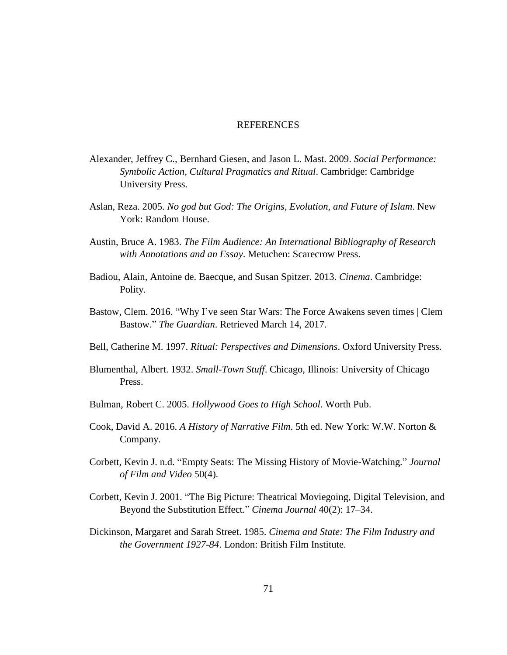## **REFERENCES**

- Alexander, Jeffrey C., Bernhard Giesen, and Jason L. Mast. 2009. *Social Performance: Symbolic Action, Cultural Pragmatics and Ritual*. Cambridge: Cambridge University Press.
- Aslan, Reza. 2005. *No god but God: The Origins, Evolution, and Future of Islam*. New York: Random House.
- Austin, Bruce A. 1983. *The Film Audience: An International Bibliography of Research with Annotations and an Essay*. Metuchen: Scarecrow Press.
- Badiou, Alain, Antoine de. Baecque, and Susan Spitzer. 2013. *Cinema*. Cambridge: Polity.
- Bastow, Clem. 2016. "Why I've seen Star Wars: The Force Awakens seven times | Clem Bastow." *The Guardian*. Retrieved March 14, 2017.
- Bell, Catherine M. 1997. *Ritual: Perspectives and Dimensions*. Oxford University Press.
- Blumenthal, Albert. 1932. *Small-Town Stuff*. Chicago, Illinois: University of Chicago Press.
- Bulman, Robert C. 2005. *Hollywood Goes to High School*. Worth Pub.
- Cook, David A. 2016. *A History of Narrative Film*. 5th ed. New York: W.W. Norton & Company.
- Corbett, Kevin J. n.d. "Empty Seats: The Missing History of Movie-Watching." *Journal of Film and Video* 50(4).
- Corbett, Kevin J. 2001. "The Big Picture: Theatrical Moviegoing, Digital Television, and Beyond the Substitution Effect." *Cinema Journal* 40(2): 17–34.
- Dickinson, Margaret and Sarah Street. 1985. *Cinema and State: The Film Industry and the Government 1927-84*. London: British Film Institute.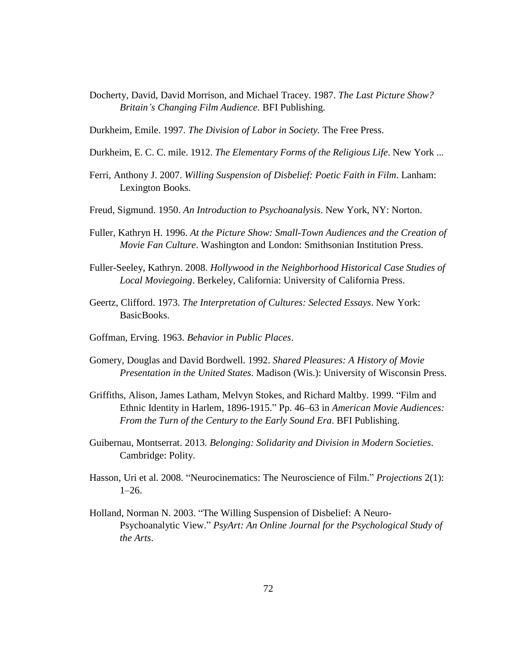Docherty, David, David Morrison, and Michael Tracey. 1987. *The Last Picture Show? Britain's Changing Film Audience*. BFI Publishing.

Durkheim, Emile. 1997. *The Division of Labor in Society.* The Free Press.

- Durkheim, E. C. C. mile. 1912. *The Elementary Forms of the Religious Life*. New York ...
- Ferri, Anthony J. 2007. *Willing Suspension of Disbelief: Poetic Faith in Film*. Lanham: Lexington Books.
- Freud, Sigmund. 1950. *An Introduction to Psychoanalysis*. New York, NY: Norton.
- Fuller, Kathryn H. 1996. *At the Picture Show: Small-Town Audiences and the Creation of Movie Fan Culture*. Washington and London: Smithsonian Institution Press.
- Fuller-Seeley, Kathryn. 2008. *Hollywood in the Neighborhood Historical Case Studies of Local Moviegoing*. Berkeley, California: University of California Press.
- Geertz, Clifford. 1973. *The Interpretation of Cultures: Selected Essays*. New York: BasicBooks.
- Goffman, Erving. 1963. *Behavior in Public Places*.
- Gomery, Douglas and David Bordwell. 1992. *Shared Pleasures: A History of Movie Presentation in the United States*. Madison (Wis.): University of Wisconsin Press.
- Griffiths, Alison, James Latham, Melvyn Stokes, and Richard Maltby. 1999. "Film and Ethnic Identity in Harlem, 1896-1915." Pp. 46–63 in *American Movie Audiences: From the Turn of the Century to the Early Sound Era*. BFI Publishing.
- Guibernau, Montserrat. 2013. *Belonging: Solidarity and Division in Modern Societies*. Cambridge: Polity.
- Hasson, Uri et al. 2008. "Neurocinematics: The Neuroscience of Film." *Projections* 2(1): 1–26.
- Holland, Norman N. 2003. "The Willing Suspension of Disbelief: A Neuro-Psychoanalytic View." *PsyArt: An Online Journal for the Psychological Study of the Arts*.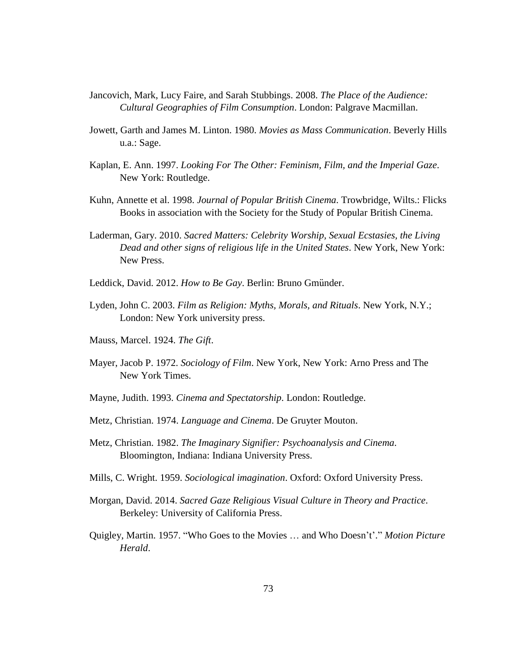- Jancovich, Mark, Lucy Faire, and Sarah Stubbings. 2008. *The Place of the Audience: Cultural Geographies of Film Consumption*. London: Palgrave Macmillan.
- Jowett, Garth and James M. Linton. 1980. *Movies as Mass Communication*. Beverly Hills u.a.: Sage.
- Kaplan, E. Ann. 1997. *Looking For The Other: Feminism, Film, and the Imperial Gaze*. New York: Routledge.
- Kuhn, Annette et al. 1998. *Journal of Popular British Cinema*. Trowbridge, Wilts.: Flicks Books in association with the Society for the Study of Popular British Cinema.
- Laderman, Gary. 2010. *Sacred Matters: Celebrity Worship, Sexual Ecstasies, the Living Dead and other signs of religious life in the United States*. New York, New York: New Press.
- Leddick, David. 2012. *How to Be Gay*. Berlin: Bruno Gmünder.
- Lyden, John C. 2003. *Film as Religion: Myths, Morals, and Rituals*. New York, N.Y.; London: New York university press.
- Mauss, Marcel. 1924. *The Gift*.
- Mayer, Jacob P. 1972. *Sociology of Film*. New York, New York: Arno Press and The New York Times.
- Mayne, Judith. 1993. *Cinema and Spectatorship*. London: Routledge.
- Metz, Christian. 1974. *Language and Cinema*. De Gruyter Mouton.
- Metz, Christian. 1982. *The Imaginary Signifier: Psychoanalysis and Cinema*. Bloomington, Indiana: Indiana University Press.
- Mills, C. Wright. 1959. *Sociological imagination*. Oxford: Oxford University Press.
- Morgan, David. 2014. *Sacred Gaze Religious Visual Culture in Theory and Practice*. Berkeley: University of California Press.
- Quigley, Martin. 1957. "Who Goes to the Movies … and Who Doesn't'." *Motion Picture Herald*.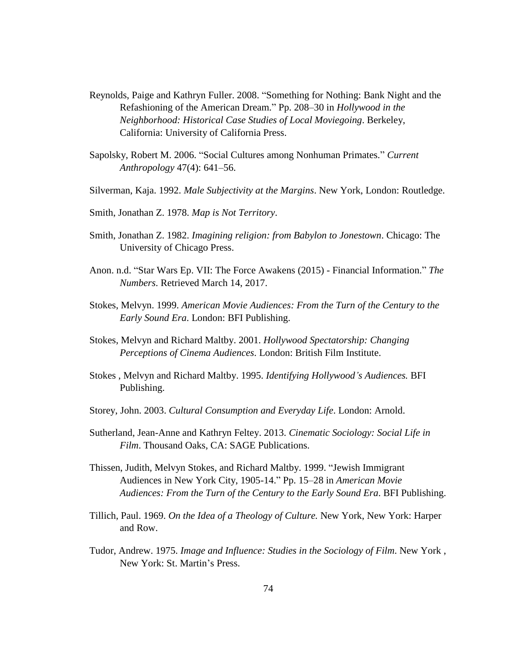- Reynolds, Paige and Kathryn Fuller. 2008. "Something for Nothing: Bank Night and the Refashioning of the American Dream." Pp. 208–30 in *Hollywood in the Neighborhood: Historical Case Studies of Local Moviegoing*. Berkeley, California: University of California Press.
- Sapolsky, Robert M. 2006. "Social Cultures among Nonhuman Primates." *Current Anthropology* 47(4): 641–56.
- Silverman, Kaja. 1992. *Male Subjectivity at the Margins*. New York, London: Routledge.
- Smith, Jonathan Z. 1978. *Map is Not Territory*.
- Smith, Jonathan Z. 1982. *Imagining religion: from Babylon to Jonestown*. Chicago: The University of Chicago Press.
- Anon. n.d. "Star Wars Ep. VII: The Force Awakens (2015) Financial Information." *The Numbers*. Retrieved March 14, 2017.
- Stokes, Melvyn. 1999. *American Movie Audiences: From the Turn of the Century to the Early Sound Era*. London: BFI Publishing.
- Stokes, Melvyn and Richard Maltby. 2001. *Hollywood Spectatorship: Changing Perceptions of Cinema Audiences*. London: British Film Institute.
- Stokes , Melvyn and Richard Maltby. 1995. *Identifying Hollywood's Audiences.* BFI Publishing.
- Storey, John. 2003. *Cultural Consumption and Everyday Life*. London: Arnold.
- Sutherland, Jean-Anne and Kathryn Feltey. 2013. *Cinematic Sociology: Social Life in Film*. Thousand Oaks, CA: SAGE Publications.
- Thissen, Judith, Melvyn Stokes, and Richard Maltby. 1999. "Jewish Immigrant Audiences in New York City, 1905-14." Pp. 15–28 in *American Movie Audiences: From the Turn of the Century to the Early Sound Era*. BFI Publishing.
- Tillich, Paul. 1969. *On the Idea of a Theology of Culture.* New York, New York: Harper and Row.
- Tudor, Andrew. 1975. *Image and Influence: Studies in the Sociology of Film*. New York , New York: St. Martin's Press.